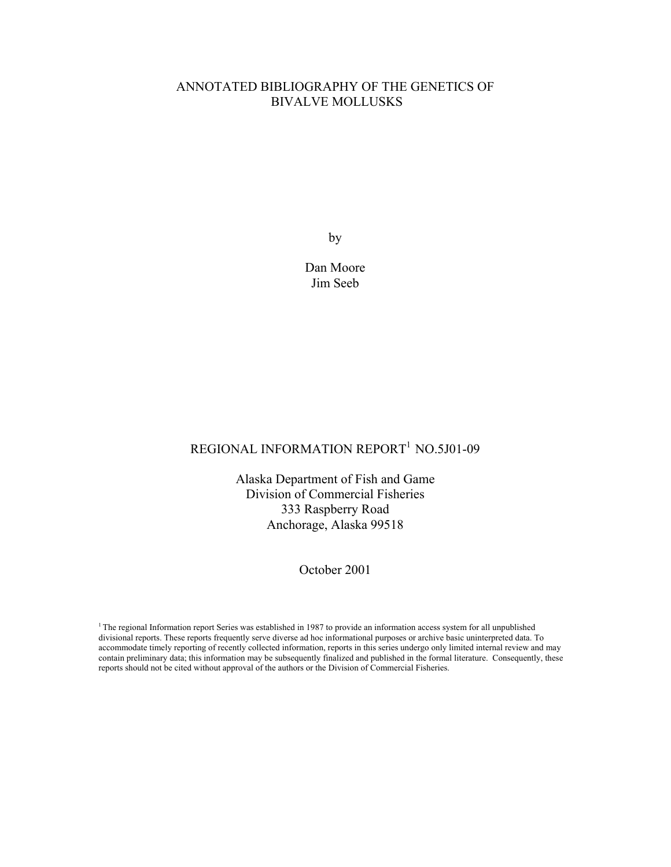# ANNOTATED BIBLIOGRAPHY OF THE GENETICS OF BIVALVE MOLLUSKS

by

Dan Moore Jim Seeb

# REGIONAL INFORMATION REPORT<sup>1</sup> NO.5J01-09

Alaska Department of Fish and Game Division of Commercial Fisheries 333 Raspberry Road Anchorage, Alaska 99518

October 2001

<sup>1</sup> The regional Information report Series was established in 1987 to provide an information access system for all unpublished divisional reports. These reports frequently serve diverse ad hoc informational purposes or archive basic uninterpreted data. To accommodate timely reporting of recently collected information, reports in this series undergo only limited internal review and may contain preliminary data; this information may be subsequently finalized and published in the formal literature. Consequently, these reports should not be cited without approval of the authors or the Division of Commercial Fisheries.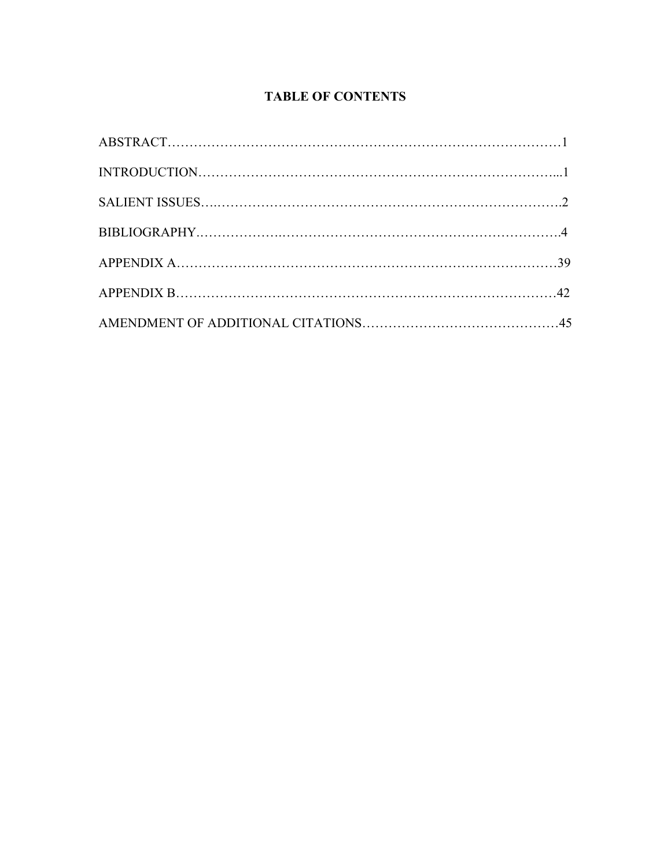# **TABLE OF CONTENTS**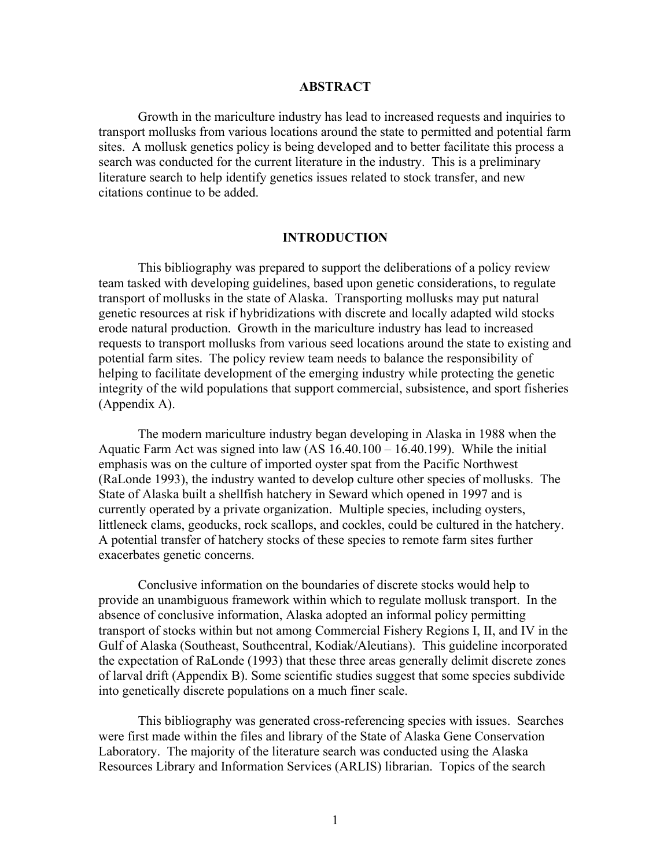#### **ABSTRACT**

Growth in the mariculture industry has lead to increased requests and inquiries to transport mollusks from various locations around the state to permitted and potential farm sites. A mollusk genetics policy is being developed and to better facilitate this process a search was conducted for the current literature in the industry. This is a preliminary literature search to help identify genetics issues related to stock transfer, and new citations continue to be added.

#### **INTRODUCTION**

This bibliography was prepared to support the deliberations of a policy review team tasked with developing guidelines, based upon genetic considerations, to regulate transport of mollusks in the state of Alaska. Transporting mollusks may put natural genetic resources at risk if hybridizations with discrete and locally adapted wild stocks erode natural production. Growth in the mariculture industry has lead to increased requests to transport mollusks from various seed locations around the state to existing and potential farm sites. The policy review team needs to balance the responsibility of helping to facilitate development of the emerging industry while protecting the genetic integrity of the wild populations that support commercial, subsistence, and sport fisheries (Appendix A).

The modern mariculture industry began developing in Alaska in 1988 when the Aquatic Farm Act was signed into law (AS 16.40.100 – 16.40.199). While the initial emphasis was on the culture of imported oyster spat from the Pacific Northwest (RaLonde 1993), the industry wanted to develop culture other species of mollusks. The State of Alaska built a shellfish hatchery in Seward which opened in 1997 and is currently operated by a private organization. Multiple species, including oysters, littleneck clams, geoducks, rock scallops, and cockles, could be cultured in the hatchery. A potential transfer of hatchery stocks of these species to remote farm sites further exacerbates genetic concerns.

Conclusive information on the boundaries of discrete stocks would help to provide an unambiguous framework within which to regulate mollusk transport. In the absence of conclusive information, Alaska adopted an informal policy permitting transport of stocks within but not among Commercial Fishery Regions I, II, and IV in the Gulf of Alaska (Southeast, Southcentral, Kodiak/Aleutians). This guideline incorporated the expectation of RaLonde (1993) that these three areas generally delimit discrete zones of larval drift (Appendix B). Some scientific studies suggest that some species subdivide into genetically discrete populations on a much finer scale.

This bibliography was generated cross-referencing species with issues. Searches were first made within the files and library of the State of Alaska Gene Conservation Laboratory. The majority of the literature search was conducted using the Alaska Resources Library and Information Services (ARLIS) librarian. Topics of the search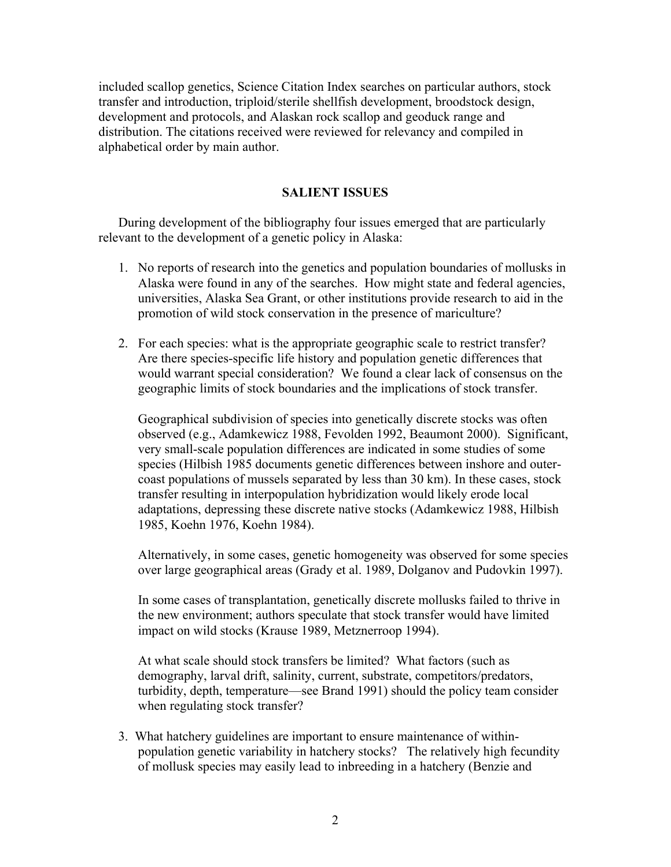included scallop genetics, Science Citation Index searches on particular authors, stock transfer and introduction, triploid/sterile shellfish development, broodstock design, development and protocols, and Alaskan rock scallop and geoduck range and distribution. The citations received were reviewed for relevancy and compiled in alphabetical order by main author.

# **SALIENT ISSUES**

During development of the bibliography four issues emerged that are particularly relevant to the development of a genetic policy in Alaska:

- 1. No reports of research into the genetics and population boundaries of mollusks in Alaska were found in any of the searches. How might state and federal agencies, universities, Alaska Sea Grant, or other institutions provide research to aid in the promotion of wild stock conservation in the presence of mariculture?
- 2. For each species: what is the appropriate geographic scale to restrict transfer? Are there species-specific life history and population genetic differences that would warrant special consideration? We found a clear lack of consensus on the geographic limits of stock boundaries and the implications of stock transfer.

Geographical subdivision of species into genetically discrete stocks was often observed (e.g., Adamkewicz 1988, Fevolden 1992, Beaumont 2000). Significant, very small-scale population differences are indicated in some studies of some species (Hilbish 1985 documents genetic differences between inshore and outercoast populations of mussels separated by less than 30 km). In these cases, stock transfer resulting in interpopulation hybridization would likely erode local adaptations, depressing these discrete native stocks (Adamkewicz 1988, Hilbish 1985, Koehn 1976, Koehn 1984).

Alternatively, in some cases, genetic homogeneity was observed for some species over large geographical areas (Grady et al. 1989, Dolganov and Pudovkin 1997).

In some cases of transplantation, genetically discrete mollusks failed to thrive in the new environment; authors speculate that stock transfer would have limited impact on wild stocks (Krause 1989, Metznerroop 1994).

At what scale should stock transfers be limited? What factors (such as demography, larval drift, salinity, current, substrate, competitors/predators, turbidity, depth, temperature—see Brand 1991) should the policy team consider when regulating stock transfer?

3. What hatchery guidelines are important to ensure maintenance of withinpopulation genetic variability in hatchery stocks? The relatively high fecundity of mollusk species may easily lead to inbreeding in a hatchery (Benzie and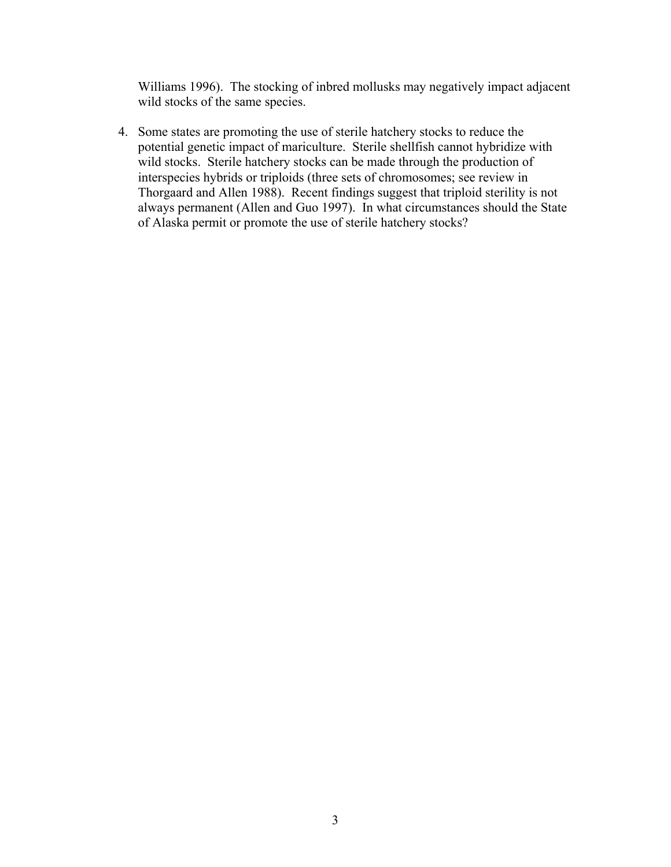Williams 1996). The stocking of inbred mollusks may negatively impact adjacent wild stocks of the same species.

4. Some states are promoting the use of sterile hatchery stocks to reduce the potential genetic impact of mariculture. Sterile shellfish cannot hybridize with wild stocks. Sterile hatchery stocks can be made through the production of interspecies hybrids or triploids (three sets of chromosomes; see review in Thorgaard and Allen 1988). Recent findings suggest that triploid sterility is not always permanent (Allen and Guo 1997). In what circumstances should the State of Alaska permit or promote the use of sterile hatchery stocks?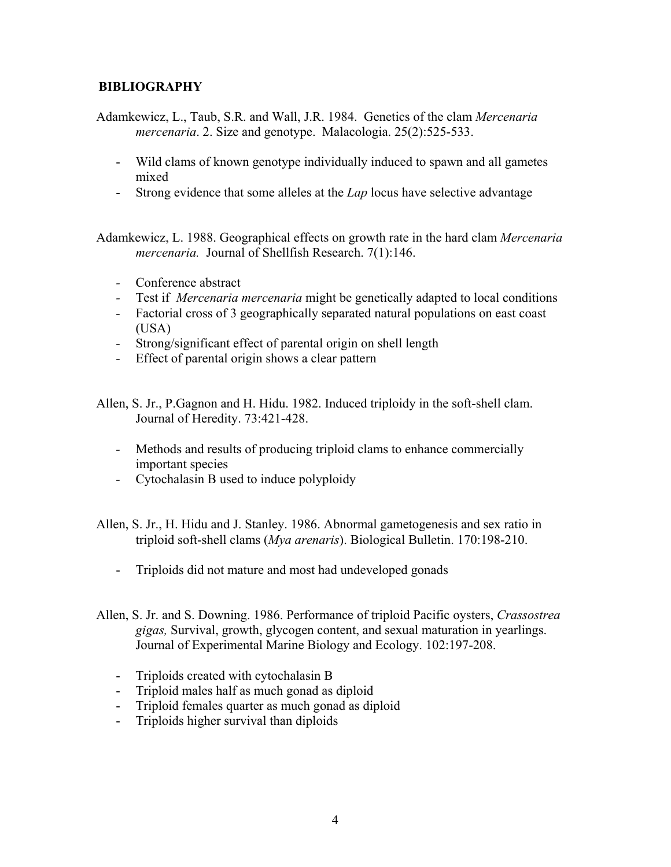# **BIBLIOGRAPHY**

Adamkewicz, L., Taub, S.R. and Wall, J.R. 1984. Genetics of the clam *Mercenaria mercenaria*. 2. Size and genotype. Malacologia. 25(2):525-533.

- Wild clams of known genotype individually induced to spawn and all gametes mixed
- Strong evidence that some alleles at the *Lap* locus have selective advantage

Adamkewicz, L. 1988. Geographical effects on growth rate in the hard clam *Mercenaria mercenaria.* Journal of Shellfish Research. 7(1):146.

- Conference abstract
- Test if *Mercenaria mercenaria* might be genetically adapted to local conditions
- Factorial cross of 3 geographically separated natural populations on east coast (USA)
- Strong/significant effect of parental origin on shell length
- Effect of parental origin shows a clear pattern

Allen, S. Jr., P.Gagnon and H. Hidu. 1982. Induced triploidy in the soft-shell clam. Journal of Heredity. 73:421-428.

- Methods and results of producing triploid clams to enhance commercially important species
- Cytochalasin B used to induce polyploidy
- Allen, S. Jr., H. Hidu and J. Stanley. 1986. Abnormal gametogenesis and sex ratio in triploid soft-shell clams (*Mya arenaris*). Biological Bulletin. 170:198-210.
	- Triploids did not mature and most had undeveloped gonads
- Allen, S. Jr. and S. Downing. 1986. Performance of triploid Pacific oysters, *Crassostrea gigas,* Survival, growth, glycogen content, and sexual maturation in yearlings. Journal of Experimental Marine Biology and Ecology. 102:197-208.
	- Triploids created with cytochalasin B
	- Triploid males half as much gonad as diploid
	- Triploid females quarter as much gonad as diploid
	- Triploids higher survival than diploids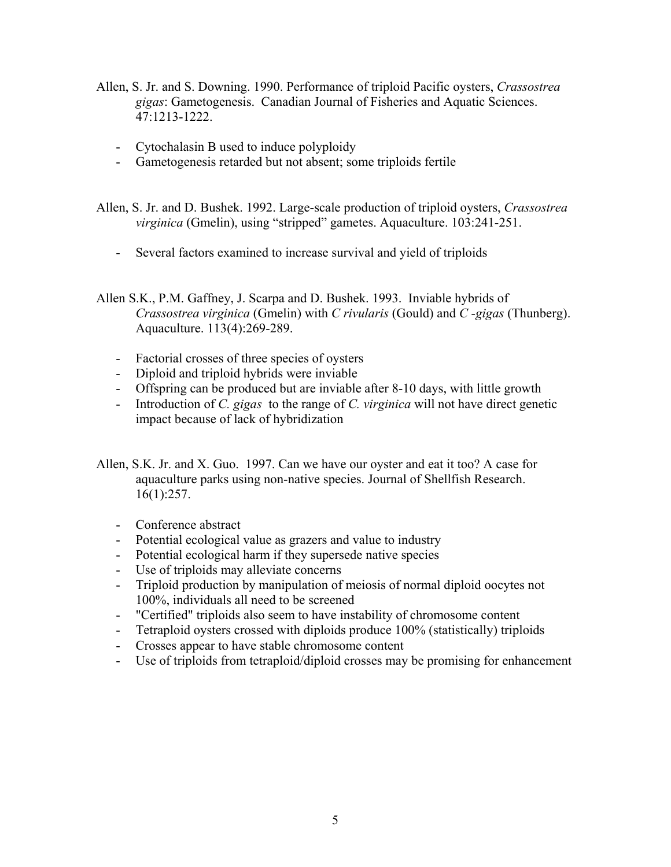- Allen, S. Jr. and S. Downing. 1990. Performance of triploid Pacific oysters, *Crassostrea gigas*: Gametogenesis. Canadian Journal of Fisheries and Aquatic Sciences. 47:1213-1222.
	- Cytochalasin B used to induce polyploidy
	- Gametogenesis retarded but not absent; some triploids fertile

Allen, S. Jr. and D. Bushek. 1992. Large-scale production of triploid oysters, *Crassostrea virginica* (Gmelin), using "stripped" gametes. Aquaculture. 103:241-251.

- Several factors examined to increase survival and yield of triploids

Allen S.K., P.M. Gaffney, J. Scarpa and D. Bushek. 1993. Inviable hybrids of *Crassostrea virginica* (Gmelin) with *C rivularis* (Gould) and *C -gigas* (Thunberg). Aquaculture. 113(4):269-289.

- Factorial crosses of three species of oysters
- Diploid and triploid hybrids were inviable
- Offspring can be produced but are inviable after 8-10 days, with little growth
- Introduction of *C. gigas* to the range of *C. virginica* will not have direct genetic impact because of lack of hybridization
- Allen, S.K. Jr. and X. Guo. 1997. Can we have our oyster and eat it too? A case for aquaculture parks using non-native species. Journal of Shellfish Research. 16(1):257.
	- Conference abstract
	- Potential ecological value as grazers and value to industry
	- Potential ecological harm if they supersede native species
	- Use of triploids may alleviate concerns
	- Triploid production by manipulation of meiosis of normal diploid oocytes not 100%, individuals all need to be screened
	- "Certified" triploids also seem to have instability of chromosome content
	- Tetraploid oysters crossed with diploids produce 100% (statistically) triploids
	- Crosses appear to have stable chromosome content
	- Use of triploids from tetraploid/diploid crosses may be promising for enhancement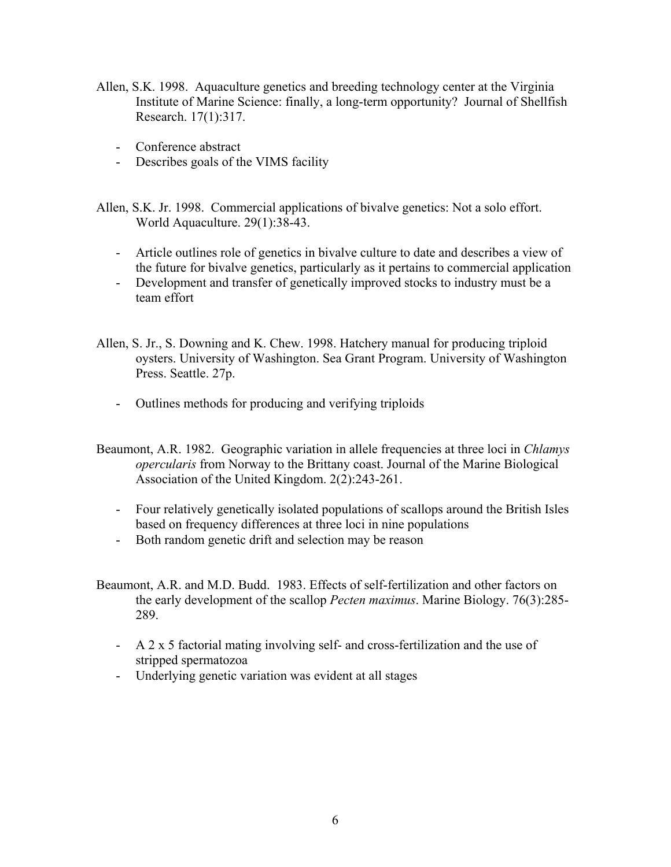- Allen, S.K. 1998. Aquaculture genetics and breeding technology center at the Virginia Institute of Marine Science: finally, a long-term opportunity? Journal of Shellfish Research. 17(1):317.
	- Conference abstract
	- Describes goals of the VIMS facility
- Allen, S.K. Jr. 1998. Commercial applications of bivalve genetics: Not a solo effort. World Aquaculture. 29(1):38-43.
	- Article outlines role of genetics in bivalve culture to date and describes a view of the future for bivalve genetics, particularly as it pertains to commercial application
	- Development and transfer of genetically improved stocks to industry must be a team effort
- Allen, S. Jr., S. Downing and K. Chew. 1998. Hatchery manual for producing triploid oysters. University of Washington. Sea Grant Program. University of Washington Press. Seattle. 27p.
	- Outlines methods for producing and verifying triploids
- Beaumont, A.R. 1982. Geographic variation in allele frequencies at three loci in *Chlamys opercularis* from Norway to the Brittany coast. Journal of the Marine Biological Association of the United Kingdom. 2(2):243-261.
	- Four relatively genetically isolated populations of scallops around the British Isles based on frequency differences at three loci in nine populations
	- Both random genetic drift and selection may be reason
- Beaumont, A.R. and M.D. Budd. 1983. Effects of self-fertilization and other factors on the early development of the scallop *Pecten maximus*. Marine Biology. 76(3):285- 289.
	- A 2 x 5 factorial mating involving self- and cross-fertilization and the use of stripped spermatozoa
	- Underlying genetic variation was evident at all stages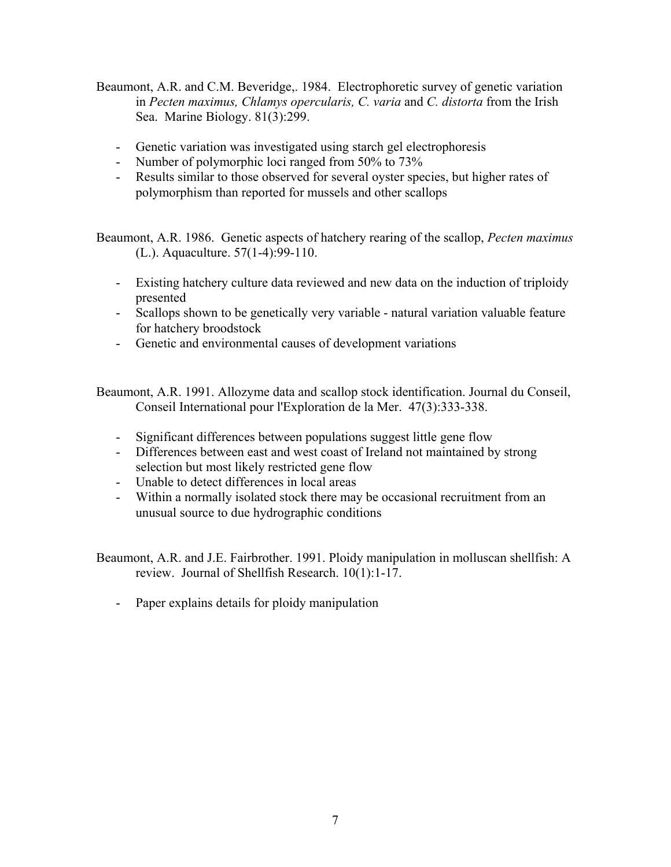- Beaumont, A.R. and C.M. Beveridge,. 1984. Electrophoretic survey of genetic variation in *Pecten maximus, Chlamys opercularis, C. varia* and *C. distorta* from the Irish Sea. Marine Biology. 81(3):299.
	- Genetic variation was investigated using starch gel electrophoresis
	- Number of polymorphic loci ranged from 50% to 73%
	- Results similar to those observed for several oyster species, but higher rates of polymorphism than reported for mussels and other scallops

Beaumont, A.R. 1986. Genetic aspects of hatchery rearing of the scallop, *Pecten maximus* (L.). Aquaculture. 57(1-4):99-110.

- Existing hatchery culture data reviewed and new data on the induction of triploidy presented
- Scallops shown to be genetically very variable natural variation valuable feature for hatchery broodstock
- Genetic and environmental causes of development variations

Beaumont, A.R. 1991. Allozyme data and scallop stock identification. Journal du Conseil, Conseil International pour l'Exploration de la Mer. 47(3):333-338.

- Significant differences between populations suggest little gene flow
- Differences between east and west coast of Ireland not maintained by strong selection but most likely restricted gene flow
- Unable to detect differences in local areas
- Within a normally isolated stock there may be occasional recruitment from an unusual source to due hydrographic conditions

Beaumont, A.R. and J.E. Fairbrother. 1991. Ploidy manipulation in molluscan shellfish: A review. Journal of Shellfish Research. 10(1):1-17.

- Paper explains details for ploidy manipulation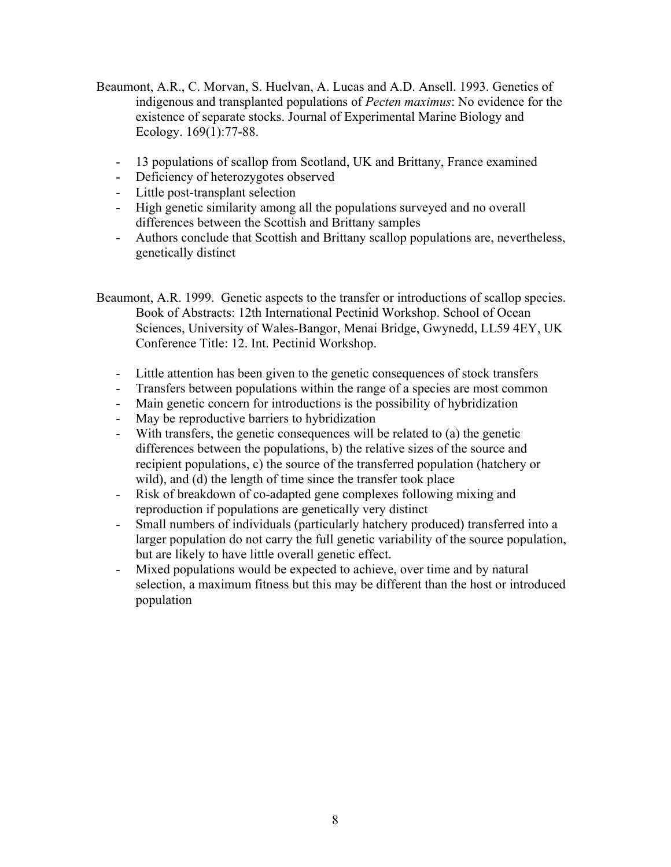- Beaumont, A.R., C. Morvan, S. Huelvan, A. Lucas and A.D. Ansell. 1993. Genetics of indigenous and transplanted populations of *Pecten maximus*: No evidence for the existence of separate stocks. Journal of Experimental Marine Biology and Ecology. 169(1):77-88.
	- 13 populations of scallop from Scotland, UK and Brittany, France examined
	- Deficiency of heterozygotes observed
	- Little post-transplant selection
	- High genetic similarity among all the populations surveyed and no overall differences between the Scottish and Brittany samples
	- Authors conclude that Scottish and Brittany scallop populations are, nevertheless, genetically distinct
- Beaumont, A.R. 1999. Genetic aspects to the transfer or introductions of scallop species. Book of Abstracts: 12th International Pectinid Workshop. School of Ocean Sciences, University of Wales-Bangor, Menai Bridge, Gwynedd, LL59 4EY, UK Conference Title: 12. Int. Pectinid Workshop.
	- Little attention has been given to the genetic consequences of stock transfers
	- Transfers between populations within the range of a species are most common
	- Main genetic concern for introductions is the possibility of hybridization
	- May be reproductive barriers to hybridization
	- With transfers, the genetic consequences will be related to (a) the genetic differences between the populations, b) the relative sizes of the source and recipient populations, c) the source of the transferred population (hatchery or wild), and (d) the length of time since the transfer took place
	- Risk of breakdown of co-adapted gene complexes following mixing and reproduction if populations are genetically very distinct
	- Small numbers of individuals (particularly hatchery produced) transferred into a larger population do not carry the full genetic variability of the source population, but are likely to have little overall genetic effect.
	- Mixed populations would be expected to achieve, over time and by natural selection, a maximum fitness but this may be different than the host or introduced population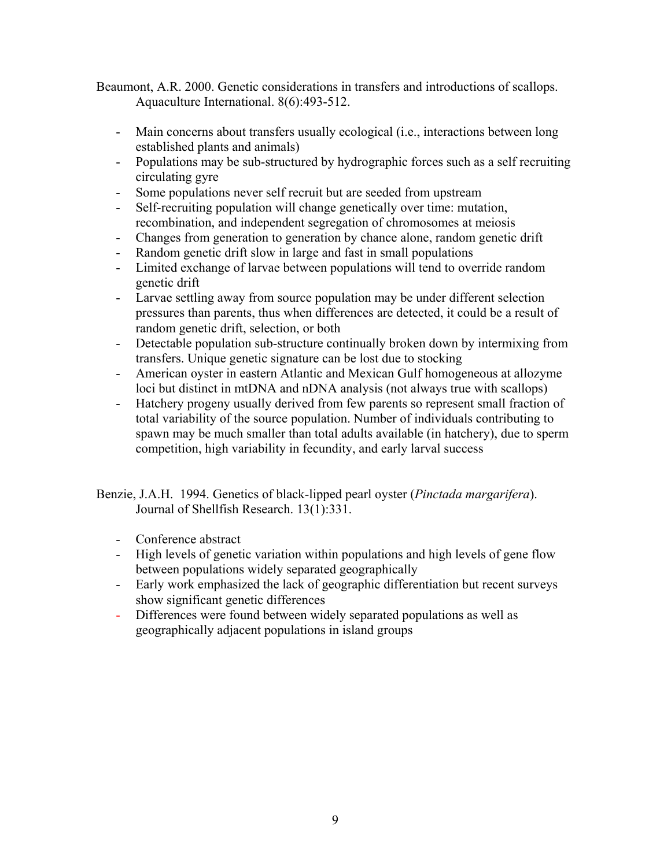Beaumont, A.R. 2000. Genetic considerations in transfers and introductions of scallops. Aquaculture International. 8(6):493-512.

- Main concerns about transfers usually ecological (i.e., interactions between long established plants and animals)
- Populations may be sub-structured by hydrographic forces such as a self recruiting circulating gyre
- Some populations never self recruit but are seeded from upstream
- Self-recruiting population will change genetically over time: mutation, recombination, and independent segregation of chromosomes at meiosis
- Changes from generation to generation by chance alone, random genetic drift
- Random genetic drift slow in large and fast in small populations
- Limited exchange of larvae between populations will tend to override random genetic drift
- Larvae settling away from source population may be under different selection pressures than parents, thus when differences are detected, it could be a result of random genetic drift, selection, or both
- Detectable population sub-structure continually broken down by intermixing from transfers. Unique genetic signature can be lost due to stocking
- American oyster in eastern Atlantic and Mexican Gulf homogeneous at allozyme loci but distinct in mtDNA and nDNA analysis (not always true with scallops)
- Hatchery progeny usually derived from few parents so represent small fraction of total variability of the source population. Number of individuals contributing to spawn may be much smaller than total adults available (in hatchery), due to sperm competition, high variability in fecundity, and early larval success

Benzie, J.A.H. 1994. Genetics of black-lipped pearl oyster (*Pinctada margarifera*). Journal of Shellfish Research. 13(1):331.

- Conference abstract
- High levels of genetic variation within populations and high levels of gene flow between populations widely separated geographically
- Early work emphasized the lack of geographic differentiation but recent surveys show significant genetic differences
- Differences were found between widely separated populations as well as geographically adjacent populations in island groups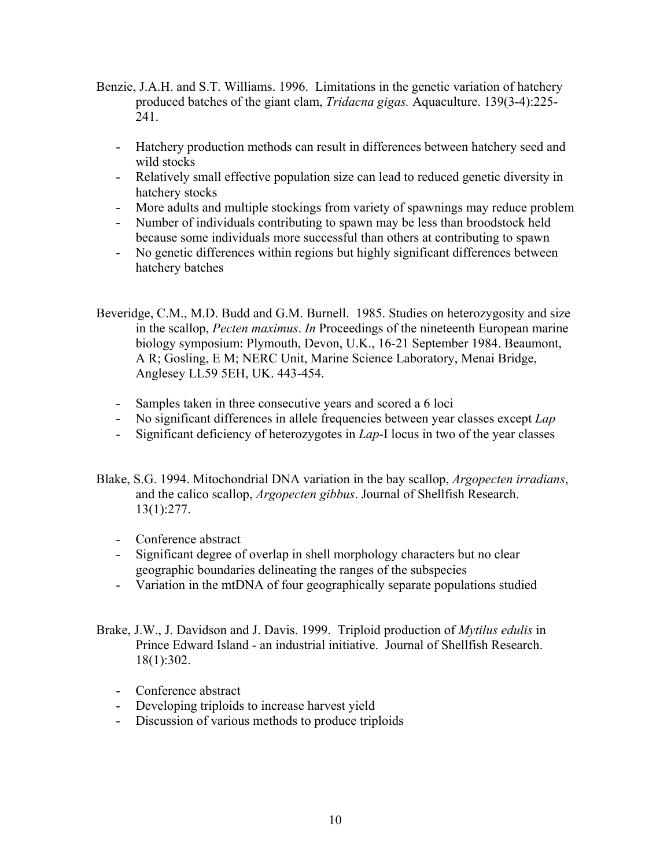- Benzie, J.A.H. and S.T. Williams. 1996. Limitations in the genetic variation of hatchery produced batches of the giant clam, *Tridacna gigas.* Aquaculture. 139(3-4):225- 241.
	- Hatchery production methods can result in differences between hatchery seed and wild stocks
	- Relatively small effective population size can lead to reduced genetic diversity in hatchery stocks
	- More adults and multiple stockings from variety of spawnings may reduce problem
	- Number of individuals contributing to spawn may be less than broodstock held because some individuals more successful than others at contributing to spawn
	- No genetic differences within regions but highly significant differences between hatchery batches

Beveridge, C.M., M.D. Budd and G.M. Burnell. 1985. Studies on heterozygosity and size in the scallop, *Pecten maximus*. *In* Proceedings of the nineteenth European marine biology symposium: Plymouth, Devon, U.K., 16-21 September 1984. Beaumont, A R; Gosling, E M; NERC Unit, Marine Science Laboratory, Menai Bridge, Anglesey LL59 5EH, UK. 443-454.

- Samples taken in three consecutive years and scored a 6 loci
- No significant differences in allele frequencies between year classes except *Lap*
- Significant deficiency of heterozygotes in *Lap*-I locus in two of the year classes
- Blake, S.G. 1994. Mitochondrial DNA variation in the bay scallop, *Argopecten irradians*, and the calico scallop, *Argopecten gibbus*. Journal of Shellfish Research. 13(1):277.
	- Conference abstract
	- Significant degree of overlap in shell morphology characters but no clear geographic boundaries delineating the ranges of the subspecies
	- Variation in the mtDNA of four geographically separate populations studied
- Brake, J.W., J. Davidson and J. Davis. 1999. Triploid production of *Mytilus edulis* in Prince Edward Island - an industrial initiative. Journal of Shellfish Research. 18(1):302.
	- Conference abstract
	- Developing triploids to increase harvest yield
	- Discussion of various methods to produce triploids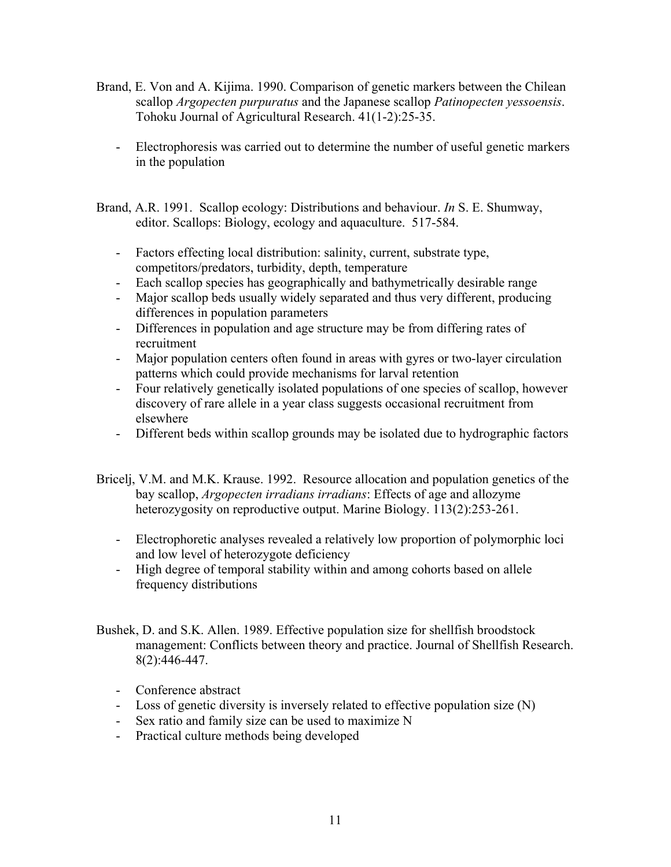- Brand, E. Von and A. Kijima. 1990. Comparison of genetic markers between the Chilean scallop *Argopecten purpuratus* and the Japanese scallop *Patinopecten yessoensis*. Tohoku Journal of Agricultural Research. 41(1-2):25-35.
	- Electrophoresis was carried out to determine the number of useful genetic markers in the population
- Brand, A.R. 1991. Scallop ecology: Distributions and behaviour. *In* S. E. Shumway, editor. Scallops: Biology, ecology and aquaculture. 517-584.
	- Factors effecting local distribution: salinity, current, substrate type, competitors/predators, turbidity, depth, temperature
	- Each scallop species has geographically and bathymetrically desirable range
	- Major scallop beds usually widely separated and thus very different, producing differences in population parameters
	- Differences in population and age structure may be from differing rates of recruitment
	- Major population centers often found in areas with gyres or two-layer circulation patterns which could provide mechanisms for larval retention
	- Four relatively genetically isolated populations of one species of scallop, however discovery of rare allele in a year class suggests occasional recruitment from elsewhere
	- Different beds within scallop grounds may be isolated due to hydrographic factors
- Bricelj, V.M. and M.K. Krause. 1992. Resource allocation and population genetics of the bay scallop, *Argopecten irradians irradians*: Effects of age and allozyme heterozygosity on reproductive output. Marine Biology. 113(2):253-261.
	- Electrophoretic analyses revealed a relatively low proportion of polymorphic loci and low level of heterozygote deficiency
	- High degree of temporal stability within and among cohorts based on allele frequency distributions
- Bushek, D. and S.K. Allen. 1989. Effective population size for shellfish broodstock management: Conflicts between theory and practice. Journal of Shellfish Research. 8(2):446-447.
	- Conference abstract
	- Loss of genetic diversity is inversely related to effective population size (N)
	- Sex ratio and family size can be used to maximize N
	- Practical culture methods being developed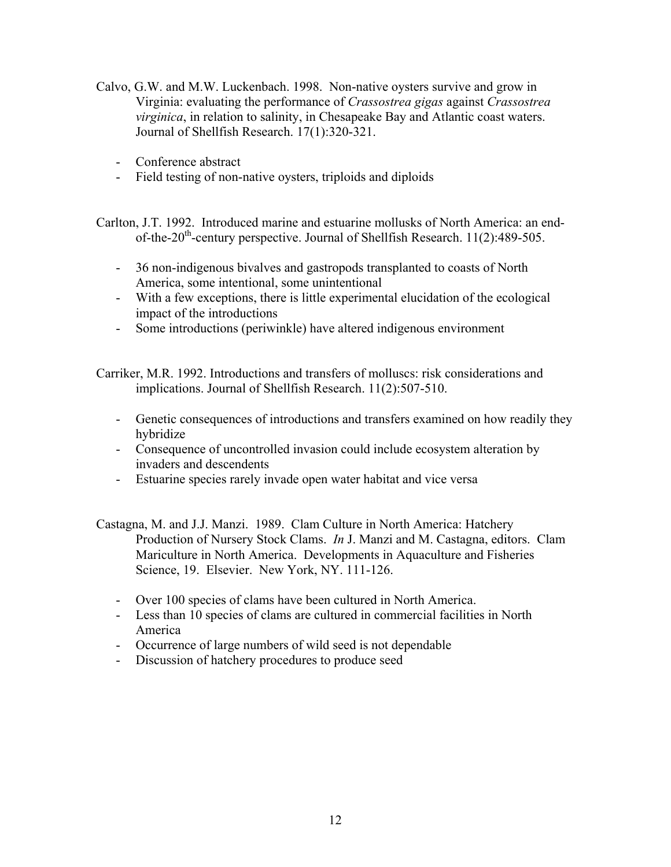- Calvo, G.W. and M.W. Luckenbach. 1998. Non-native oysters survive and grow in Virginia: evaluating the performance of *Crassostrea gigas* against *Crassostrea virginica*, in relation to salinity, in Chesapeake Bay and Atlantic coast waters. Journal of Shellfish Research. 17(1):320-321.
	- Conference abstract
	- Field testing of non-native oysters, triploids and diploids

Carlton, J.T. 1992. Introduced marine and estuarine mollusks of North America: an endof-the-20<sup>th</sup>-century perspective. Journal of Shellfish Research.  $11(2)$ :489-505.

- 36 non-indigenous bivalves and gastropods transplanted to coasts of North America, some intentional, some unintentional
- With a few exceptions, there is little experimental elucidation of the ecological impact of the introductions
- Some introductions (periwinkle) have altered indigenous environment

Carriker, M.R. 1992. Introductions and transfers of molluscs: risk considerations and implications. Journal of Shellfish Research. 11(2):507-510.

- Genetic consequences of introductions and transfers examined on how readily they hybridize
- Consequence of uncontrolled invasion could include ecosystem alteration by invaders and descendents
- Estuarine species rarely invade open water habitat and vice versa
- Castagna, M. and J.J. Manzi. 1989. Clam Culture in North America: Hatchery Production of Nursery Stock Clams. *In* J. Manzi and M. Castagna, editors. Clam Mariculture in North America. Developments in Aquaculture and Fisheries Science, 19. Elsevier. New York, NY. 111-126.
	- Over 100 species of clams have been cultured in North America.
	- Less than 10 species of clams are cultured in commercial facilities in North America
	- Occurrence of large numbers of wild seed is not dependable
	- Discussion of hatchery procedures to produce seed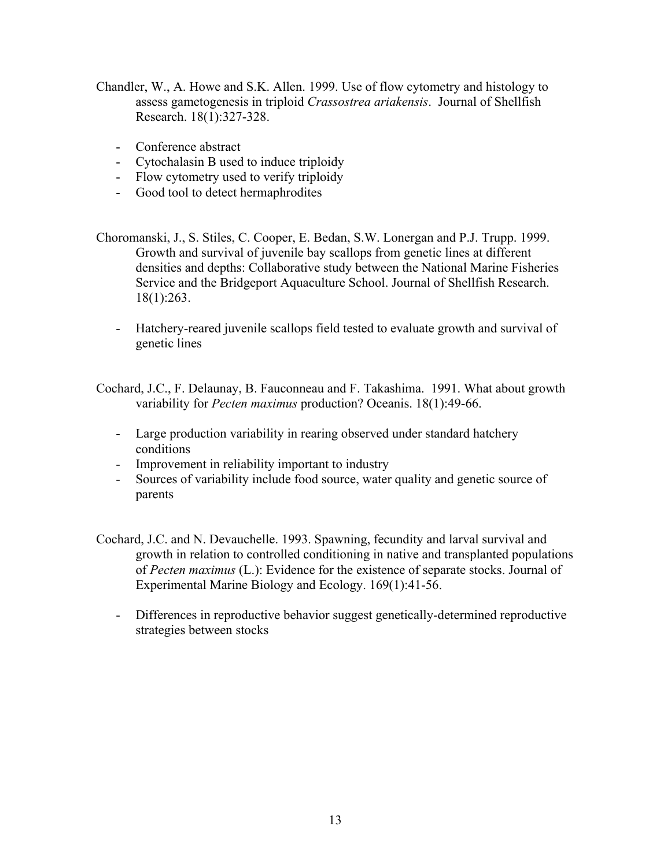- Chandler, W., A. Howe and S.K. Allen. 1999. Use of flow cytometry and histology to assess gametogenesis in triploid *Crassostrea ariakensis*. Journal of Shellfish Research. 18(1):327-328.
	- Conference abstract
	- Cytochalasin B used to induce triploidy
	- Flow cytometry used to verify triploidy
	- Good tool to detect hermaphrodites
- Choromanski, J., S. Stiles, C. Cooper, E. Bedan, S.W. Lonergan and P.J. Trupp. 1999. Growth and survival of juvenile bay scallops from genetic lines at different densities and depths: Collaborative study between the National Marine Fisheries Service and the Bridgeport Aquaculture School. Journal of Shellfish Research. 18(1):263.
	- Hatchery-reared juvenile scallops field tested to evaluate growth and survival of genetic lines

Cochard, J.C., F. Delaunay, B. Fauconneau and F. Takashima. 1991. What about growth variability for *Pecten maximus* production? Oceanis. 18(1):49-66.

- Large production variability in rearing observed under standard hatchery conditions
- Improvement in reliability important to industry
- Sources of variability include food source, water quality and genetic source of parents
- Cochard, J.C. and N. Devauchelle. 1993. Spawning, fecundity and larval survival and growth in relation to controlled conditioning in native and transplanted populations of *Pecten maximus* (L.): Evidence for the existence of separate stocks. Journal of Experimental Marine Biology and Ecology. 169(1):41-56.
	- Differences in reproductive behavior suggest genetically-determined reproductive strategies between stocks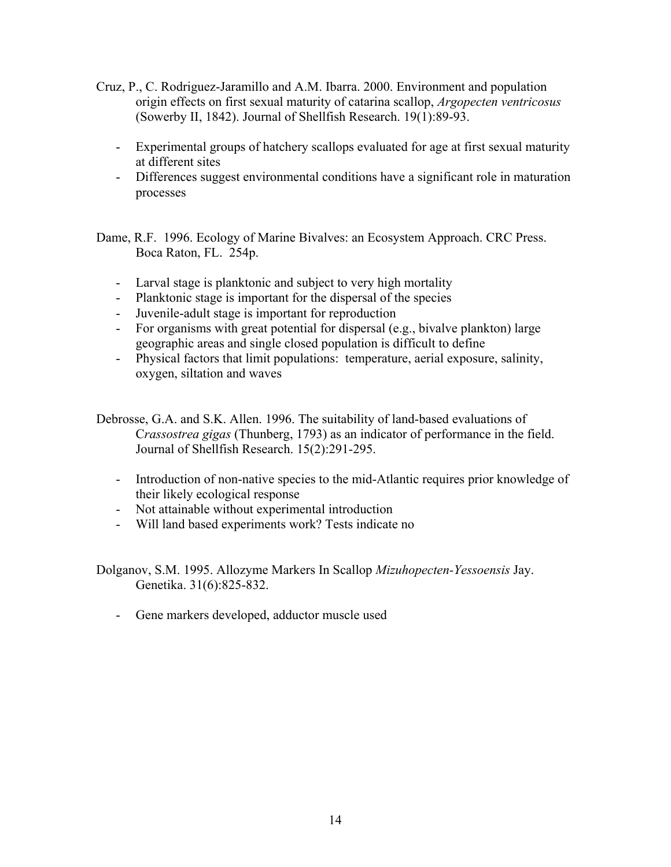- Cruz, P., C. Rodriguez-Jaramillo and A.M. Ibarra. 2000. Environment and population origin effects on first sexual maturity of catarina scallop, *Argopecten ventricosus* (Sowerby II, 1842). Journal of Shellfish Research. 19(1):89-93.
	- Experimental groups of hatchery scallops evaluated for age at first sexual maturity at different sites
	- Differences suggest environmental conditions have a significant role in maturation processes

Dame, R.F. 1996. Ecology of Marine Bivalves: an Ecosystem Approach. CRC Press. Boca Raton, FL. 254p.

- Larval stage is planktonic and subject to very high mortality
- Planktonic stage is important for the dispersal of the species
- Juvenile-adult stage is important for reproduction
- For organisms with great potential for dispersal (e.g., bivalve plankton) large geographic areas and single closed population is difficult to define
- Physical factors that limit populations: temperature, aerial exposure, salinity, oxygen, siltation and waves
- Debrosse, G.A. and S.K. Allen. 1996. The suitability of land-based evaluations of C*rassostrea gigas* (Thunberg, 1793) as an indicator of performance in the field. Journal of Shellfish Research. 15(2):291-295.
	- Introduction of non-native species to the mid-Atlantic requires prior knowledge of their likely ecological response
	- Not attainable without experimental introduction
	- Will land based experiments work? Tests indicate no

Dolganov, S.M. 1995. Allozyme Markers In Scallop *Mizuhopecten-Yessoensis* Jay. Genetika. 31(6):825-832.

- Gene markers developed, adductor muscle used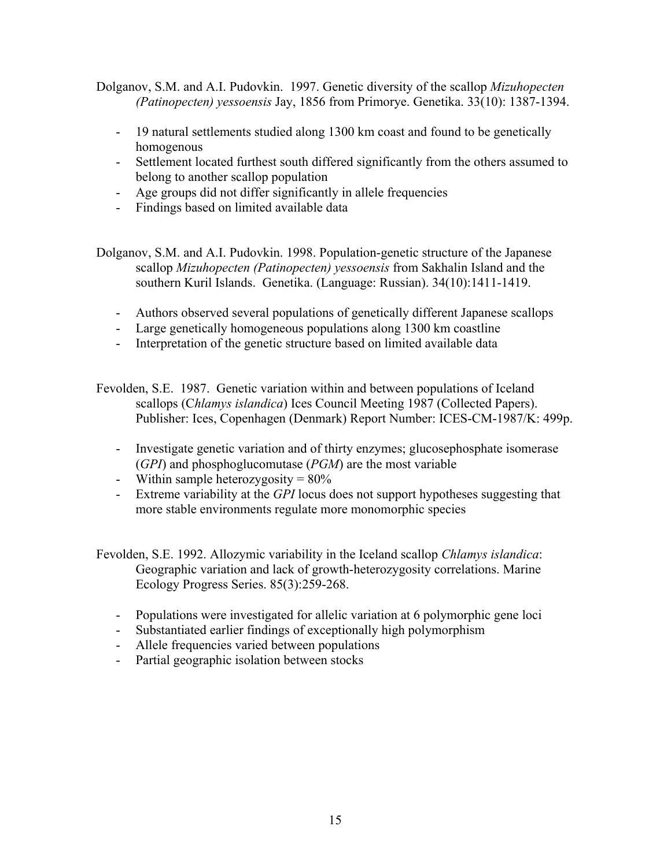Dolganov, S.M. and A.I. Pudovkin. 1997. Genetic diversity of the scallop *Mizuhopecten (Patinopecten) yessoensis* Jay, 1856 from Primorye. Genetika. 33(10): 1387-1394.

- 19 natural settlements studied along 1300 km coast and found to be genetically homogenous
- Settlement located furthest south differed significantly from the others assumed to belong to another scallop population
- Age groups did not differ significantly in allele frequencies
- Findings based on limited available data
- Dolganov, S.M. and A.I. Pudovkin. 1998. Population-genetic structure of the Japanese scallop *Mizuhopecten (Patinopecten) yessoensis* from Sakhalin Island and the southern Kuril Islands. Genetika. (Language: Russian). 34(10):1411-1419.
	- Authors observed several populations of genetically different Japanese scallops
	- Large genetically homogeneous populations along 1300 km coastline
	- Interpretation of the genetic structure based on limited available data
- Fevolden, S.E. 1987. Genetic variation within and between populations of Iceland scallops (C*hlamys islandica*) Ices Council Meeting 1987 (Collected Papers). Publisher: Ices, Copenhagen (Denmark) Report Number: ICES-CM-1987/K: 499p.
	- Investigate genetic variation and of thirty enzymes; glucosephosphate isomerase (*GPI*) and phosphoglucomutase (*PGM*) are the most variable
	- Within sample heterozygosity  $= 80\%$
	- Extreme variability at the *GPI* locus does not support hypotheses suggesting that more stable environments regulate more monomorphic species
- Fevolden, S.E. 1992. Allozymic variability in the Iceland scallop *Chlamys islandica*: Geographic variation and lack of growth-heterozygosity correlations. Marine Ecology Progress Series. 85(3):259-268.
	- Populations were investigated for allelic variation at 6 polymorphic gene loci
	- Substantiated earlier findings of exceptionally high polymorphism
	- Allele frequencies varied between populations
	- Partial geographic isolation between stocks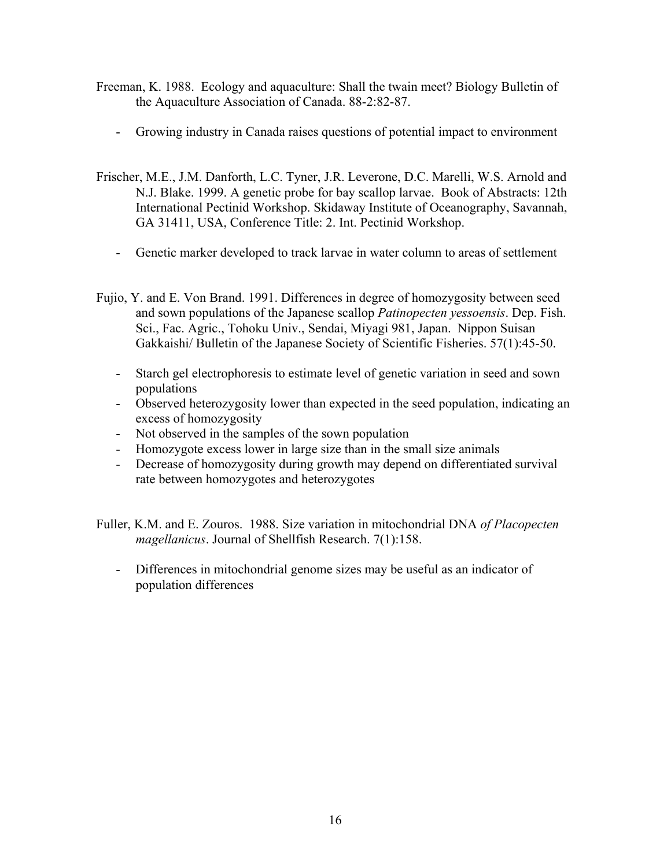- Freeman, K. 1988. Ecology and aquaculture: Shall the twain meet? Biology Bulletin of the Aquaculture Association of Canada. 88-2:82-87.
	- Growing industry in Canada raises questions of potential impact to environment
- Frischer, M.E., J.M. Danforth, L.C. Tyner, J.R. Leverone, D.C. Marelli, W.S. Arnold and N.J. Blake. 1999. A genetic probe for bay scallop larvae. Book of Abstracts: 12th International Pectinid Workshop. Skidaway Institute of Oceanography, Savannah, GA 31411, USA, Conference Title: 2. Int. Pectinid Workshop.
	- Genetic marker developed to track larvae in water column to areas of settlement
- Fujio, Y. and E. Von Brand. 1991. Differences in degree of homozygosity between seed and sown populations of the Japanese scallop *Patinopecten yessoensis*. Dep. Fish. Sci., Fac. Agric., Tohoku Univ., Sendai, Miyagi 981, Japan. Nippon Suisan Gakkaishi/ Bulletin of the Japanese Society of Scientific Fisheries. 57(1):45-50.
	- Starch gel electrophoresis to estimate level of genetic variation in seed and sown populations
	- Observed heterozygosity lower than expected in the seed population, indicating an excess of homozygosity
	- Not observed in the samples of the sown population
	- Homozygote excess lower in large size than in the small size animals
	- Decrease of homozygosity during growth may depend on differentiated survival rate between homozygotes and heterozygotes
- Fuller, K.M. and E. Zouros. 1988. Size variation in mitochondrial DNA *of Placopecten magellanicus*. Journal of Shellfish Research. 7(1):158.
	- Differences in mitochondrial genome sizes may be useful as an indicator of population differences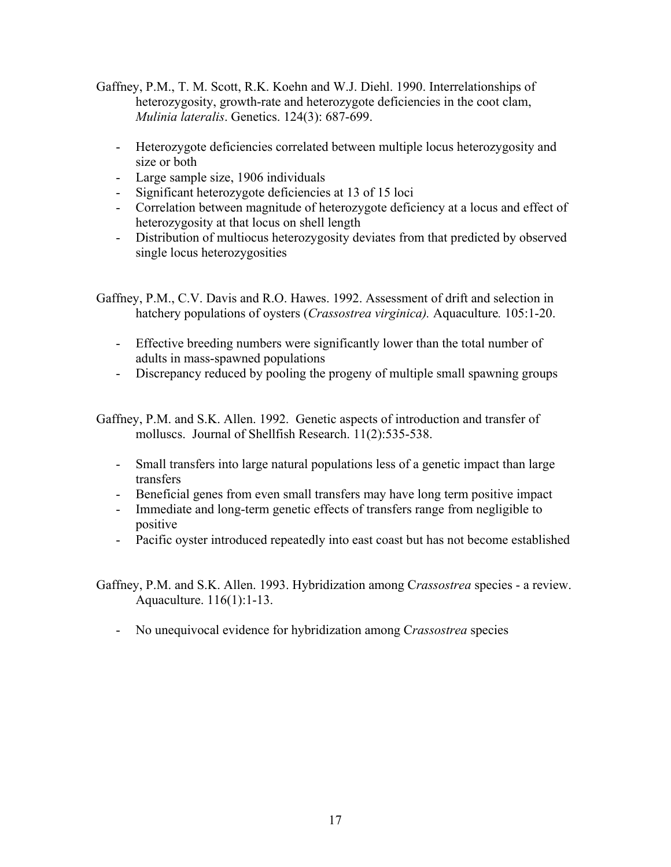- Gaffney, P.M., T. M. Scott, R.K. Koehn and W.J. Diehl. 1990. Interrelationships of heterozygosity, growth-rate and heterozygote deficiencies in the coot clam, *Mulinia lateralis*. Genetics. 124(3): 687-699.
	- Heterozygote deficiencies correlated between multiple locus heterozygosity and size or both
	- Large sample size, 1906 individuals
	- Significant heterozygote deficiencies at 13 of 15 loci
	- Correlation between magnitude of heterozygote deficiency at a locus and effect of heterozygosity at that locus on shell length
	- Distribution of multiocus heterozygosity deviates from that predicted by observed single locus heterozygosities

Gaffney, P.M., C.V. Davis and R.O. Hawes. 1992. Assessment of drift and selection in hatchery populations of oysters (*Crassostrea virginica).* Aquaculture*.* 105:1-20.

- Effective breeding numbers were significantly lower than the total number of adults in mass-spawned populations
- Discrepancy reduced by pooling the progeny of multiple small spawning groups

Gaffney, P.M. and S.K. Allen. 1992. Genetic aspects of introduction and transfer of molluscs. Journal of Shellfish Research. 11(2):535-538.

- Small transfers into large natural populations less of a genetic impact than large transfers
- Beneficial genes from even small transfers may have long term positive impact
- Immediate and long-term genetic effects of transfers range from negligible to positive
- Pacific oyster introduced repeatedly into east coast but has not become established

Gaffney, P.M. and S.K. Allen. 1993. Hybridization among C*rassostrea* species - a review. Aquaculture. 116(1):1-13.

- No unequivocal evidence for hybridization among C*rassostrea* species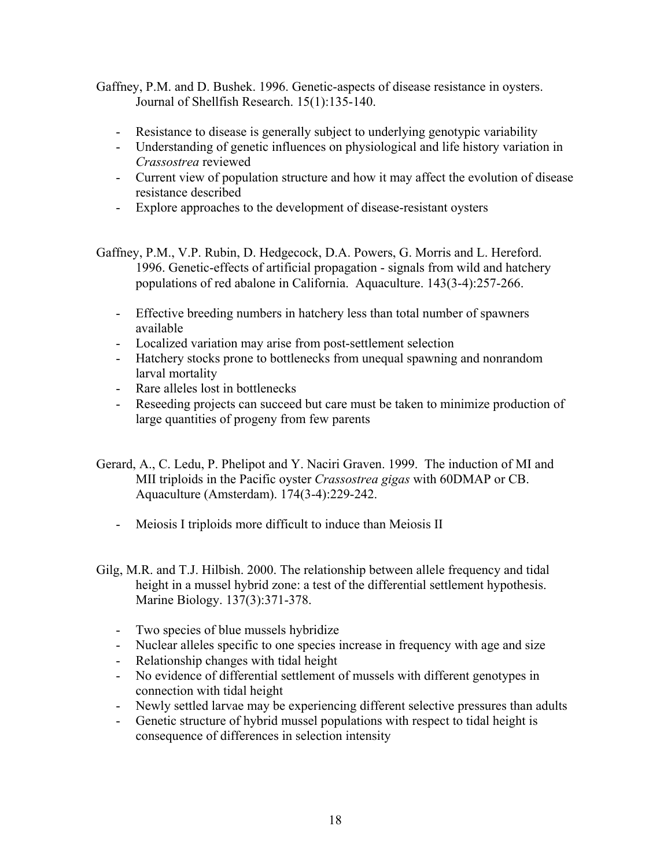- Gaffney, P.M. and D. Bushek. 1996. Genetic-aspects of disease resistance in oysters. Journal of Shellfish Research. 15(1):135-140.
	- Resistance to disease is generally subject to underlying genotypic variability
	- Understanding of genetic influences on physiological and life history variation in *Crassostrea* reviewed
	- Current view of population structure and how it may affect the evolution of disease resistance described
	- Explore approaches to the development of disease-resistant oysters
- Gaffney, P.M., V.P. Rubin, D. Hedgecock, D.A. Powers, G. Morris and L. Hereford. 1996. Genetic-effects of artificial propagation - signals from wild and hatchery populations of red abalone in California. Aquaculture. 143(3-4):257-266.
	- Effective breeding numbers in hatchery less than total number of spawners available
	- Localized variation may arise from post-settlement selection
	- Hatchery stocks prone to bottlenecks from unequal spawning and nonrandom larval mortality
	- Rare alleles lost in bottlenecks
	- Reseeding projects can succeed but care must be taken to minimize production of large quantities of progeny from few parents
- Gerard, A., C. Ledu, P. Phelipot and Y. Naciri Graven. 1999. The induction of MI and MII triploids in the Pacific oyster *Crassostrea gigas* with 60DMAP or CB. Aquaculture (Amsterdam). 174(3-4):229-242.
	- Meiosis I triploids more difficult to induce than Meiosis II
- Gilg, M.R. and T.J. Hilbish. 2000. The relationship between allele frequency and tidal height in a mussel hybrid zone: a test of the differential settlement hypothesis. Marine Biology. 137(3):371-378.
	- Two species of blue mussels hybridize
	- Nuclear alleles specific to one species increase in frequency with age and size
	- Relationship changes with tidal height
	- No evidence of differential settlement of mussels with different genotypes in connection with tidal height
	- Newly settled larvae may be experiencing different selective pressures than adults
	- Genetic structure of hybrid mussel populations with respect to tidal height is consequence of differences in selection intensity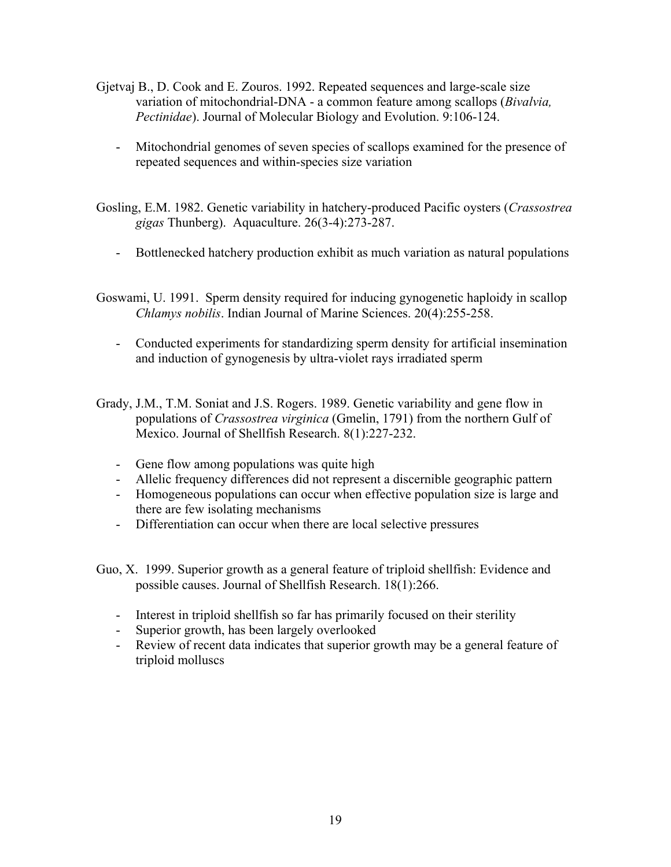- Gjetvaj B., D. Cook and E. Zouros. 1992. Repeated sequences and large-scale size variation of mitochondrial-DNA - a common feature among scallops (*Bivalvia, Pectinidae*). Journal of Molecular Biology and Evolution. 9:106-124.
	- Mitochondrial genomes of seven species of scallops examined for the presence of repeated sequences and within-species size variation
- Gosling, E.M. 1982. Genetic variability in hatchery-produced Pacific oysters (*Crassostrea gigas* Thunberg). Aquaculture. 26(3-4):273-287.
	- Bottlenecked hatchery production exhibit as much variation as natural populations
- Goswami, U. 1991. Sperm density required for inducing gynogenetic haploidy in scallop *Chlamys nobilis*. Indian Journal of Marine Sciences. 20(4):255-258.
	- Conducted experiments for standardizing sperm density for artificial insemination and induction of gynogenesis by ultra-violet rays irradiated sperm
- Grady, J.M., T.M. Soniat and J.S. Rogers. 1989. Genetic variability and gene flow in populations of *Crassostrea virginica* (Gmelin, 1791) from the northern Gulf of Mexico. Journal of Shellfish Research. 8(1):227-232.
	- Gene flow among populations was quite high
	- Allelic frequency differences did not represent a discernible geographic pattern
	- Homogeneous populations can occur when effective population size is large and there are few isolating mechanisms
	- Differentiation can occur when there are local selective pressures
- Guo, X. 1999. Superior growth as a general feature of triploid shellfish: Evidence and possible causes. Journal of Shellfish Research. 18(1):266.
	- Interest in triploid shellfish so far has primarily focused on their sterility
	- Superior growth, has been largely overlooked
	- Review of recent data indicates that superior growth may be a general feature of triploid molluscs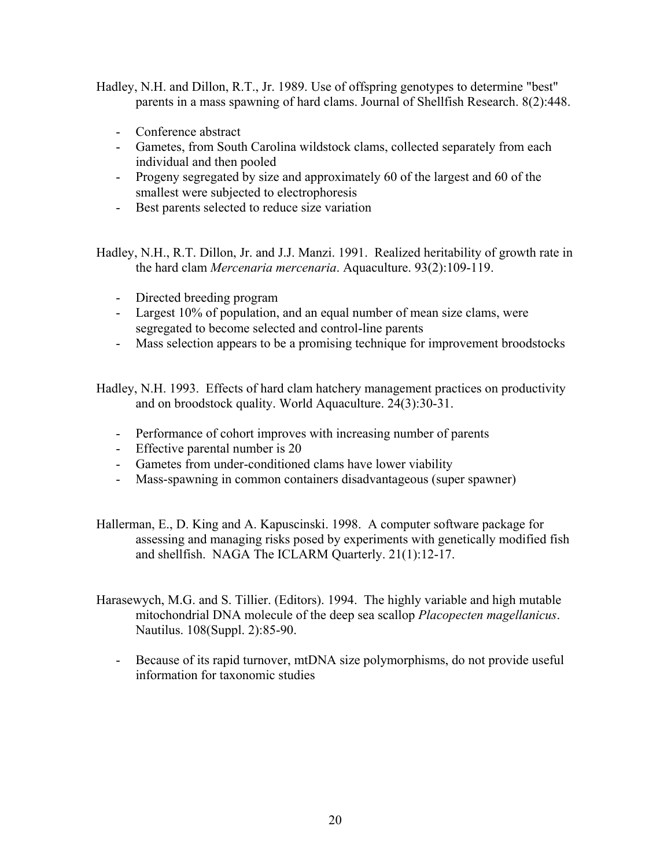Hadley, N.H. and Dillon, R.T., Jr. 1989. Use of offspring genotypes to determine "best" parents in a mass spawning of hard clams. Journal of Shellfish Research. 8(2):448.

- Conference abstract
- Gametes, from South Carolina wildstock clams, collected separately from each individual and then pooled
- Progeny segregated by size and approximately 60 of the largest and 60 of the smallest were subjected to electrophoresis
- Best parents selected to reduce size variation

Hadley, N.H., R.T. Dillon, Jr. and J.J. Manzi. 1991. Realized heritability of growth rate in the hard clam *Mercenaria mercenaria*. Aquaculture. 93(2):109-119.

- Directed breeding program
- Largest 10% of population, and an equal number of mean size clams, were segregated to become selected and control-line parents
- Mass selection appears to be a promising technique for improvement broodstocks

Hadley, N.H. 1993. Effects of hard clam hatchery management practices on productivity and on broodstock quality. World Aquaculture. 24(3):30-31.

- Performance of cohort improves with increasing number of parents
- Effective parental number is 20
- Gametes from under-conditioned clams have lower viability
- Mass-spawning in common containers disadvantageous (super spawner)
- Hallerman, E., D. King and A. Kapuscinski. 1998. A computer software package for assessing and managing risks posed by experiments with genetically modified fish and shellfish. NAGA The ICLARM Quarterly. 21(1):12-17.
- Harasewych, M.G. and S. Tillier. (Editors). 1994. The highly variable and high mutable mitochondrial DNA molecule of the deep sea scallop *Placopecten magellanicus*. Nautilus. 108(Suppl. 2):85-90.
	- Because of its rapid turnover, mtDNA size polymorphisms, do not provide useful information for taxonomic studies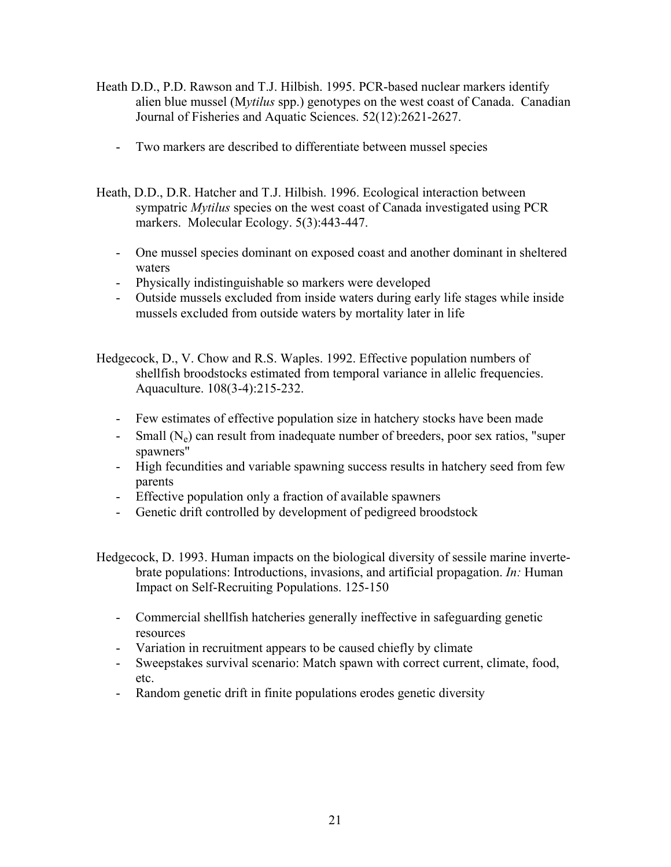- Heath D.D., P.D. Rawson and T.J. Hilbish. 1995. PCR-based nuclear markers identify alien blue mussel (M*ytilus* spp.) genotypes on the west coast of Canada. Canadian Journal of Fisheries and Aquatic Sciences. 52(12):2621-2627.
	- Two markers are described to differentiate between mussel species
- Heath, D.D., D.R. Hatcher and T.J. Hilbish. 1996. Ecological interaction between sympatric *Mytilus* species on the west coast of Canada investigated using PCR markers. Molecular Ecology. 5(3):443-447.
	- One mussel species dominant on exposed coast and another dominant in sheltered waters
	- Physically indistinguishable so markers were developed
	- Outside mussels excluded from inside waters during early life stages while inside mussels excluded from outside waters by mortality later in life
- Hedgecock, D., V. Chow and R.S. Waples. 1992. Effective population numbers of shellfish broodstocks estimated from temporal variance in allelic frequencies. Aquaculture. 108(3-4):215-232.
	- Few estimates of effective population size in hatchery stocks have been made
	- Small  $(N_e)$  can result from inadequate number of breeders, poor sex ratios, "super spawners"
	- High fecundities and variable spawning success results in hatchery seed from few parents
	- Effective population only a fraction of available spawners
	- Genetic drift controlled by development of pedigreed broodstock
- Hedgecock, D. 1993. Human impacts on the biological diversity of sessile marine invertebrate populations: Introductions, invasions, and artificial propagation. *In:* Human Impact on Self-Recruiting Populations. 125-150
	- Commercial shellfish hatcheries generally ineffective in safeguarding genetic resources
	- Variation in recruitment appears to be caused chiefly by climate
	- Sweepstakes survival scenario: Match spawn with correct current, climate, food, etc.
	- Random genetic drift in finite populations erodes genetic diversity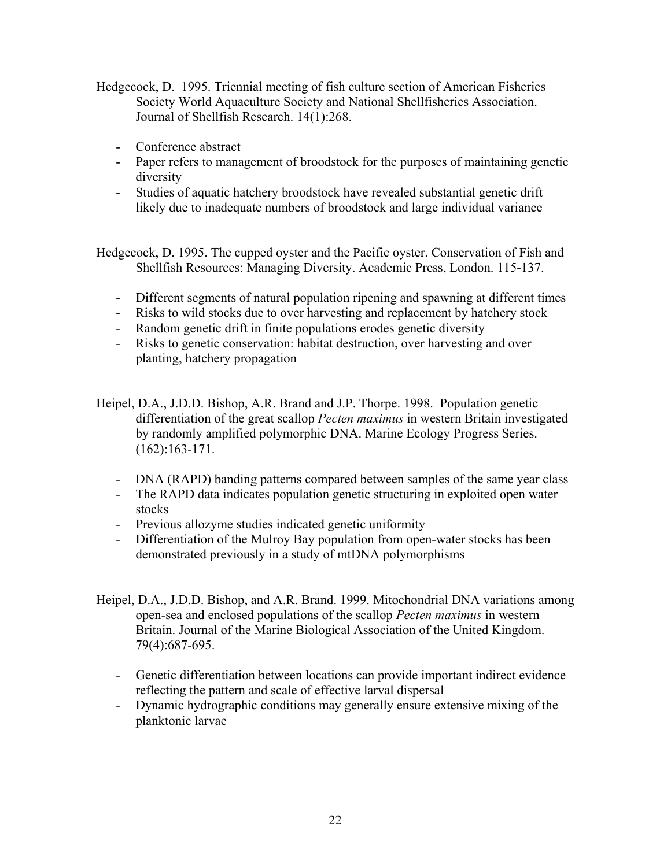- Hedgecock, D. 1995. Triennial meeting of fish culture section of American Fisheries Society World Aquaculture Society and National Shellfisheries Association. Journal of Shellfish Research. 14(1):268.
	- Conference abstract
	- Paper refers to management of broodstock for the purposes of maintaining genetic diversity
	- Studies of aquatic hatchery broodstock have revealed substantial genetic drift likely due to inadequate numbers of broodstock and large individual variance

Hedgecock, D. 1995. The cupped oyster and the Pacific oyster. Conservation of Fish and Shellfish Resources: Managing Diversity. Academic Press, London. 115-137.

- Different segments of natural population ripening and spawning at different times
- Risks to wild stocks due to over harvesting and replacement by hatchery stock
- Random genetic drift in finite populations erodes genetic diversity
- Risks to genetic conservation: habitat destruction, over harvesting and over planting, hatchery propagation
- Heipel, D.A., J.D.D. Bishop, A.R. Brand and J.P. Thorpe. 1998. Population genetic differentiation of the great scallop *Pecten maximus* in western Britain investigated by randomly amplified polymorphic DNA. Marine Ecology Progress Series. (162):163-171.
	- DNA (RAPD) banding patterns compared between samples of the same year class
	- The RAPD data indicates population genetic structuring in exploited open water stocks
	- Previous allozyme studies indicated genetic uniformity
	- Differentiation of the Mulroy Bay population from open-water stocks has been demonstrated previously in a study of mtDNA polymorphisms
- Heipel, D.A., J.D.D. Bishop, and A.R. Brand. 1999. Mitochondrial DNA variations among open-sea and enclosed populations of the scallop *Pecten maximus* in western Britain. Journal of the Marine Biological Association of the United Kingdom. 79(4):687-695.
	- Genetic differentiation between locations can provide important indirect evidence reflecting the pattern and scale of effective larval dispersal
	- Dynamic hydrographic conditions may generally ensure extensive mixing of the planktonic larvae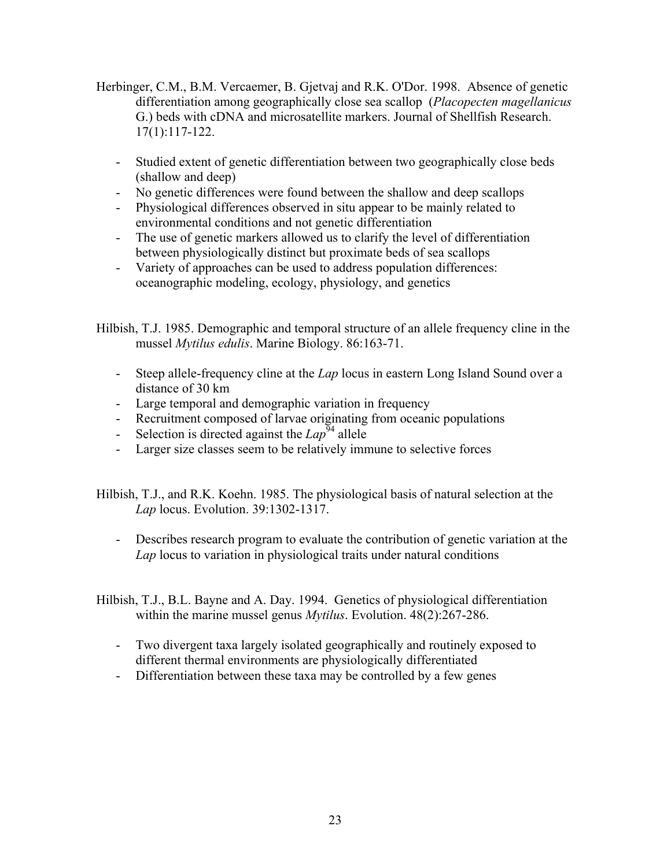- Herbinger, C.M., B.M. Vercaemer, B. Gjetvaj and R.K. O'Dor. 1998. Absence of genetic differentiation among geographically close sea scallop (*Placopecten magellanicus*  G.) beds with cDNA and microsatellite markers. Journal of Shellfish Research. 17(1):117-122.
	- Studied extent of genetic differentiation between two geographically close beds (shallow and deep)
	- No genetic differences were found between the shallow and deep scallops
	- Physiological differences observed in situ appear to be mainly related to environmental conditions and not genetic differentiation
	- The use of genetic markers allowed us to clarify the level of differentiation between physiologically distinct but proximate beds of sea scallops
	- Variety of approaches can be used to address population differences: oceanographic modeling, ecology, physiology, and genetics

Hilbish, T.J. 1985. Demographic and temporal structure of an allele frequency cline in the mussel *Mytilus edulis*. Marine Biology. 86:163-71.

- Steep allele-frequency cline at the *Lap* locus in eastern Long Island Sound over a distance of 30 km
- Large temporal and demographic variation in frequency
- Recruitment composed of larvae originating from oceanic populations
- Selection is directed against the  $Lap^{94}$  allele
- Larger size classes seem to be relatively immune to selective forces

Hilbish, T.J., and R.K. Koehn. 1985. The physiological basis of natural selection at the *Lap* locus. Evolution. 39:1302-1317.

- Describes research program to evaluate the contribution of genetic variation at the *Lap* locus to variation in physiological traits under natural conditions
- Hilbish, T.J., B.L. Bayne and A. Day. 1994. Genetics of physiological differentiation within the marine mussel genus *Mytilus*. Evolution. 48(2):267-286.
	- Two divergent taxa largely isolated geographically and routinely exposed to different thermal environments are physiologically differentiated
	- Differentiation between these taxa may be controlled by a few genes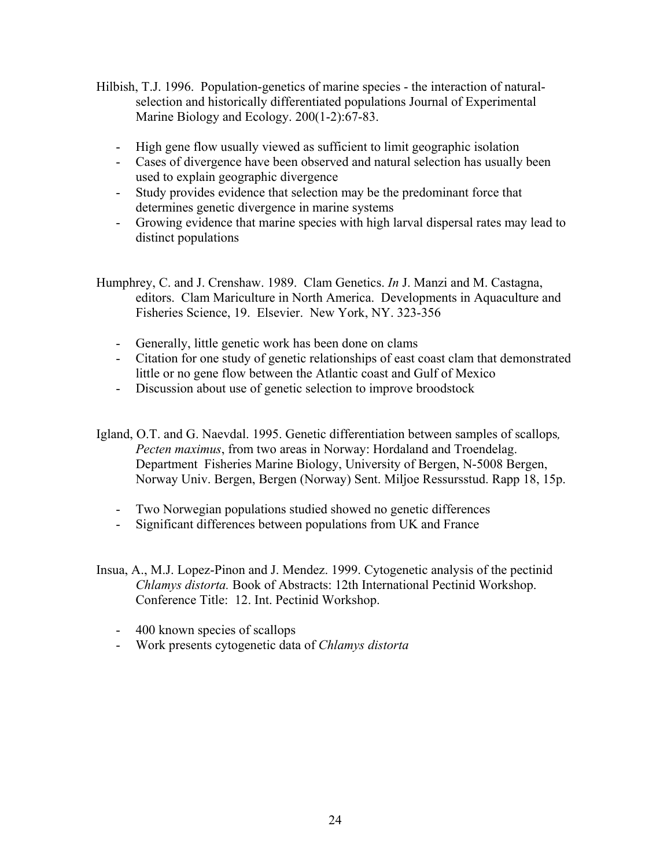- Hilbish, T.J. 1996. Population-genetics of marine species the interaction of naturalselection and historically differentiated populations Journal of Experimental Marine Biology and Ecology. 200(1-2):67-83.
	- High gene flow usually viewed as sufficient to limit geographic isolation
	- Cases of divergence have been observed and natural selection has usually been used to explain geographic divergence
	- Study provides evidence that selection may be the predominant force that determines genetic divergence in marine systems
	- Growing evidence that marine species with high larval dispersal rates may lead to distinct populations

Humphrey, C. and J. Crenshaw. 1989. Clam Genetics. *In* J. Manzi and M. Castagna, editors. Clam Mariculture in North America. Developments in Aquaculture and Fisheries Science, 19. Elsevier. New York, NY. 323-356

- Generally, little genetic work has been done on clams
- Citation for one study of genetic relationships of east coast clam that demonstrated little or no gene flow between the Atlantic coast and Gulf of Mexico
- Discussion about use of genetic selection to improve broodstock
- Igland, O.T. and G. Naevdal. 1995. Genetic differentiation between samples of scallops*, Pecten maximus*, from two areas in Norway: Hordaland and Troendelag. Department Fisheries Marine Biology, University of Bergen, N-5008 Bergen, Norway Univ. Bergen, Bergen (Norway) Sent. Miljoe Ressursstud. Rapp 18, 15p.
	- Two Norwegian populations studied showed no genetic differences
	- Significant differences between populations from UK and France
- Insua, A., M.J. Lopez-Pinon and J. Mendez. 1999. Cytogenetic analysis of the pectinid *Chlamys distorta.* Book of Abstracts: 12th International Pectinid Workshop. Conference Title: 12. Int. Pectinid Workshop.
	- 400 known species of scallops
	- Work presents cytogenetic data of *Chlamys distorta*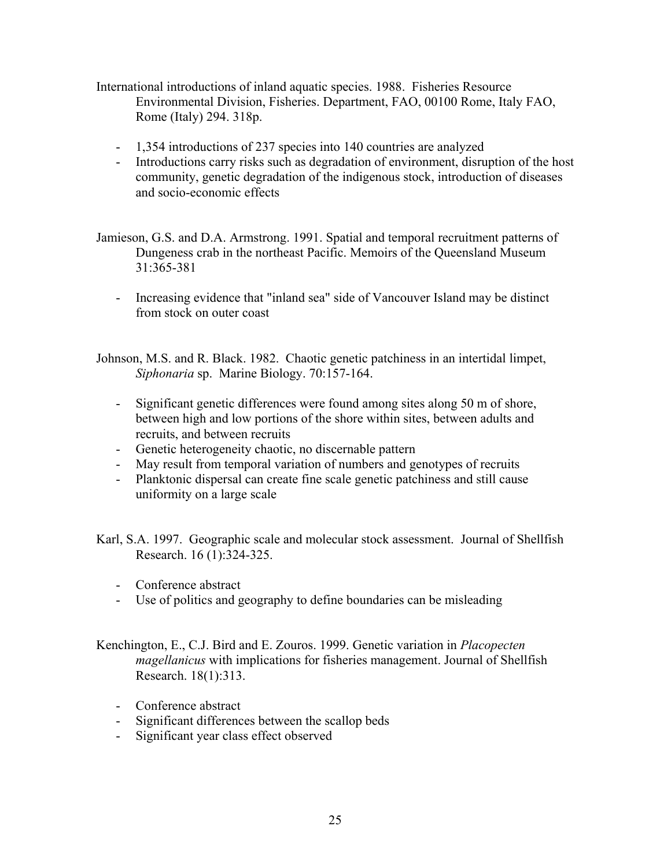- International introductions of inland aquatic species. 1988. Fisheries Resource Environmental Division, Fisheries. Department, FAO, 00100 Rome, Italy FAO, Rome (Italy) 294. 318p.
	- 1,354 introductions of 237 species into 140 countries are analyzed
	- Introductions carry risks such as degradation of environment, disruption of the host community, genetic degradation of the indigenous stock, introduction of diseases and socio-economic effects
- Jamieson, G.S. and D.A. Armstrong. 1991. Spatial and temporal recruitment patterns of Dungeness crab in the northeast Pacific. Memoirs of the Queensland Museum 31:365-381
	- Increasing evidence that "inland sea" side of Vancouver Island may be distinct from stock on outer coast

Johnson, M.S. and R. Black. 1982. Chaotic genetic patchiness in an intertidal limpet, *Siphonaria* sp. Marine Biology. 70:157-164.

- Significant genetic differences were found among sites along 50 m of shore, between high and low portions of the shore within sites, between adults and recruits, and between recruits
- Genetic heterogeneity chaotic, no discernable pattern
- May result from temporal variation of numbers and genotypes of recruits
- Planktonic dispersal can create fine scale genetic patchiness and still cause uniformity on a large scale
- Karl, S.A. 1997. Geographic scale and molecular stock assessment. Journal of Shellfish Research. 16 (1):324-325.
	- Conference abstract
	- Use of politics and geography to define boundaries can be misleading
- Kenchington, E., C.J. Bird and E. Zouros. 1999. Genetic variation in *Placopecten magellanicus* with implications for fisheries management. Journal of Shellfish Research. 18(1):313.
	- Conference abstract
	- Significant differences between the scallop beds
	- Significant year class effect observed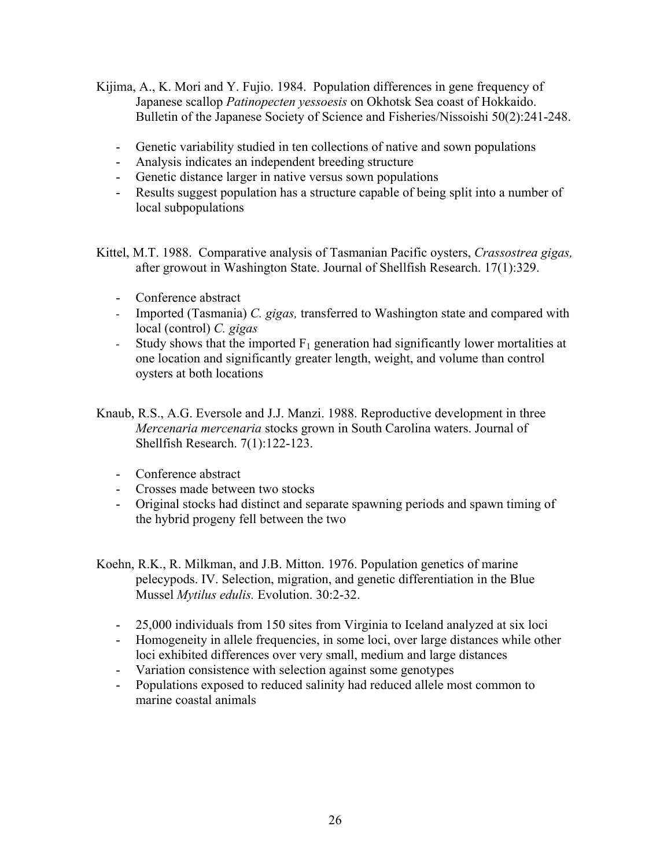- Kijima, A., K. Mori and Y. Fujio. 1984. Population differences in gene frequency of Japanese scallop *Patinopecten yessoesis* on Okhotsk Sea coast of Hokkaido. Bulletin of the Japanese Society of Science and Fisheries/Nissoishi 50(2):241-248.
	- Genetic variability studied in ten collections of native and sown populations
	- Analysis indicates an independent breeding structure
	- Genetic distance larger in native versus sown populations
	- Results suggest population has a structure capable of being split into a number of local subpopulations

Kittel, M.T. 1988. Comparative analysis of Tasmanian Pacific oysters, *Crassostrea gigas,*  after growout in Washington State. Journal of Shellfish Research. 17(1):329.

- Conference abstract
- Imported (Tasmania) *C. gigas,* transferred to Washington state and compared with local (control) *C. gigas*
- Study shows that the imported  $F_1$  generation had significantly lower mortalities at one location and significantly greater length, weight, and volume than control oysters at both locations
- Knaub, R.S., A.G. Eversole and J.J. Manzi. 1988. Reproductive development in three *Mercenaria mercenaria* stocks grown in South Carolina waters. Journal of Shellfish Research. 7(1):122-123.
	- Conference abstract
	- Crosses made between two stocks
	- Original stocks had distinct and separate spawning periods and spawn timing of the hybrid progeny fell between the two
- Koehn, R.K., R. Milkman, and J.B. Mitton. 1976. Population genetics of marine pelecypods. IV. Selection, migration, and genetic differentiation in the Blue Mussel *Mytilus edulis.* Evolution. 30:2-32.
	- 25,000 individuals from 150 sites from Virginia to Iceland analyzed at six loci
	- Homogeneity in allele frequencies, in some loci, over large distances while other loci exhibited differences over very small, medium and large distances
	- Variation consistence with selection against some genotypes
	- Populations exposed to reduced salinity had reduced allele most common to marine coastal animals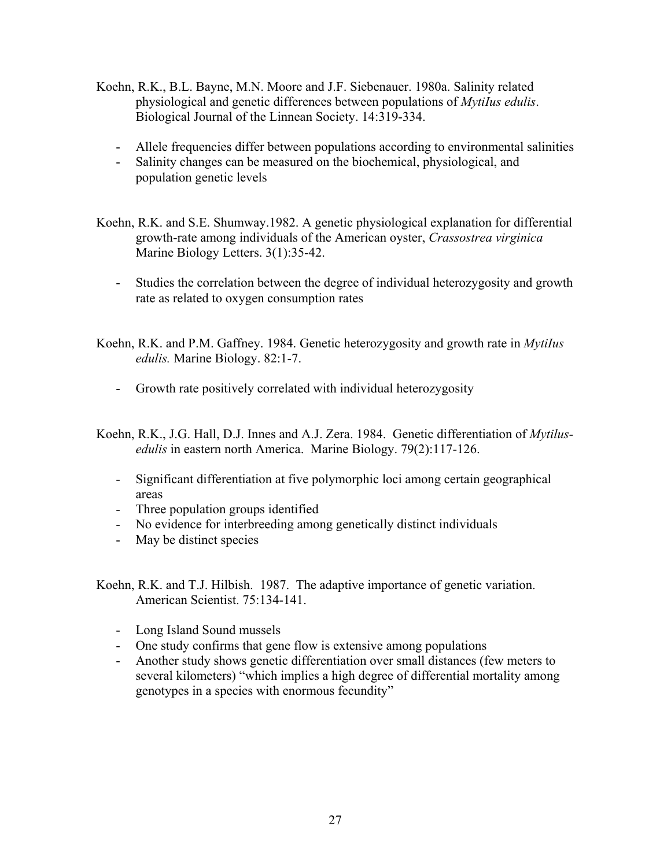- Koehn, R.K., B.L. Bayne, M.N. Moore and J.F. Siebenauer. 1980a. Salinity related physiological and genetic differences between populations of *MytiIus edulis*. Biological Journal of the Linnean Society. 14:319-334.
	- Allele frequencies differ between populations according to environmental salinities
	- Salinity changes can be measured on the biochemical, physiological, and population genetic levels
- Koehn, R.K. and S.E. Shumway.1982. A genetic physiological explanation for differential growth-rate among individuals of the American oyster, *Crassostrea virginica* Marine Biology Letters. 3(1):35-42.
	- Studies the correlation between the degree of individual heterozygosity and growth rate as related to oxygen consumption rates
- Koehn, R.K. and P.M. Gaffney. 1984. Genetic heterozygosity and growth rate in *MytiIus edulis.* Marine Biology. 82:1-7.
	- Growth rate positively correlated with individual heterozygosity
- Koehn, R.K., J.G. Hall, D.J. Innes and A.J. Zera. 1984. Genetic differentiation of *Mytilusedulis* in eastern north America. Marine Biology. 79(2):117-126.
	- Significant differentiation at five polymorphic loci among certain geographical areas
	- Three population groups identified
	- No evidence for interbreeding among genetically distinct individuals
	- May be distinct species

Koehn, R.K. and T.J. Hilbish. 1987. The adaptive importance of genetic variation. American Scientist. 75:134-141.

- Long Island Sound mussels
- One study confirms that gene flow is extensive among populations
- Another study shows genetic differentiation over small distances (few meters to several kilometers) "which implies a high degree of differential mortality among genotypes in a species with enormous fecundity"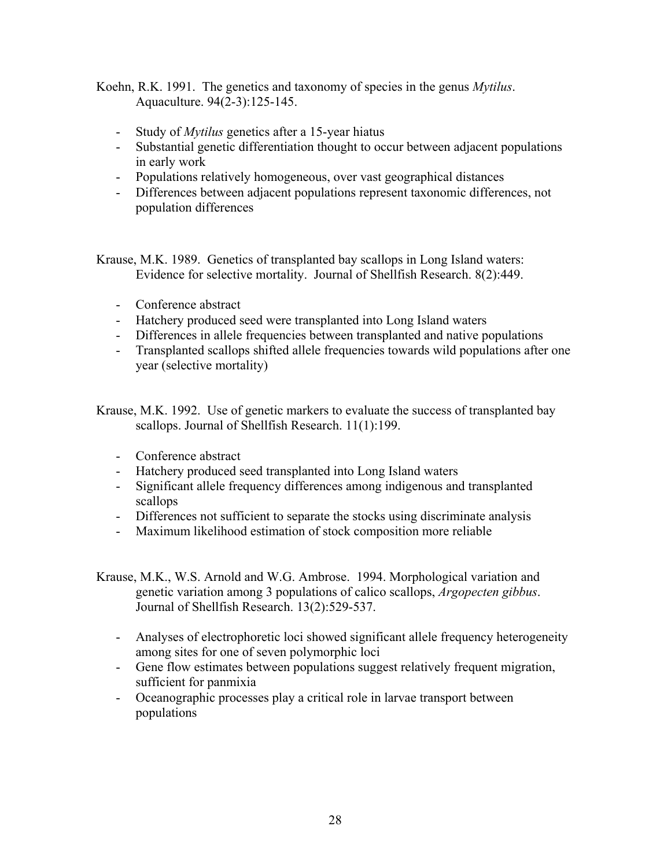Koehn, R.K. 1991. The genetics and taxonomy of species in the genus *Mytilus*. Aquaculture. 94(2-3):125-145.

- Study of *Mytilus* genetics after a 15-year hiatus
- Substantial genetic differentiation thought to occur between adjacent populations in early work
- Populations relatively homogeneous, over vast geographical distances
- Differences between adjacent populations represent taxonomic differences, not population differences

Krause, M.K. 1989. Genetics of transplanted bay scallops in Long Island waters: Evidence for selective mortality. Journal of Shellfish Research. 8(2):449.

- Conference abstract
- Hatchery produced seed were transplanted into Long Island waters
- Differences in allele frequencies between transplanted and native populations
- Transplanted scallops shifted allele frequencies towards wild populations after one year (selective mortality)

Krause, M.K. 1992. Use of genetic markers to evaluate the success of transplanted bay scallops. Journal of Shellfish Research. 11(1):199.

- Conference abstract
- Hatchery produced seed transplanted into Long Island waters
- Significant allele frequency differences among indigenous and transplanted scallops
- Differences not sufficient to separate the stocks using discriminate analysis
- Maximum likelihood estimation of stock composition more reliable
- Krause, M.K., W.S. Arnold and W.G. Ambrose. 1994. Morphological variation and genetic variation among 3 populations of calico scallops, *Argopecten gibbus*. Journal of Shellfish Research. 13(2):529-537.
	- Analyses of electrophoretic loci showed significant allele frequency heterogeneity among sites for one of seven polymorphic loci
	- Gene flow estimates between populations suggest relatively frequent migration, sufficient for panmixia
	- Oceanographic processes play a critical role in larvae transport between populations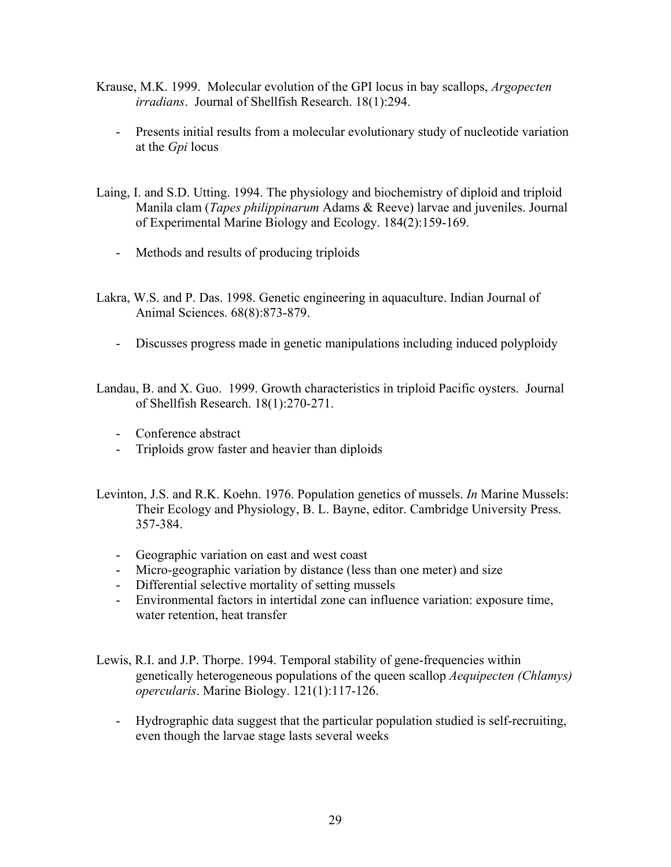- Krause, M.K. 1999. Molecular evolution of the GPI locus in bay scallops, *Argopecten irradians*. Journal of Shellfish Research. 18(1):294.
	- Presents initial results from a molecular evolutionary study of nucleotide variation at the *Gpi* locus
- Laing, I. and S.D. Utting. 1994. The physiology and biochemistry of diploid and triploid Manila clam (*Tapes philippinarum* Adams & Reeve) larvae and juveniles. Journal of Experimental Marine Biology and Ecology. 184(2):159-169.
	- Methods and results of producing triploids
- Lakra, W.S. and P. Das. 1998. Genetic engineering in aquaculture. Indian Journal of Animal Sciences. 68(8):873-879.
	- Discusses progress made in genetic manipulations including induced polyploidy
- Landau, B. and X. Guo. 1999. Growth characteristics in triploid Pacific oysters. Journal of Shellfish Research. 18(1):270-271.
	- Conference abstract
	- Triploids grow faster and heavier than diploids
- Levinton, J.S. and R.K. Koehn. 1976. Population genetics of mussels. *In* Marine Mussels: Their Ecology and Physiology, B. L. Bayne, editor. Cambridge University Press. 357-384.
	- Geographic variation on east and west coast
	- Micro-geographic variation by distance (less than one meter) and size
	- Differential selective mortality of setting mussels
	- Environmental factors in intertidal zone can influence variation: exposure time, water retention, heat transfer
- Lewis, R.I. and J.P. Thorpe. 1994. Temporal stability of gene-frequencies within genetically heterogeneous populations of the queen scallop *Aequipecten (Chlamys) opercularis*. Marine Biology. 121(1):117-126.
	- Hydrographic data suggest that the particular population studied is self-recruiting, even though the larvae stage lasts several weeks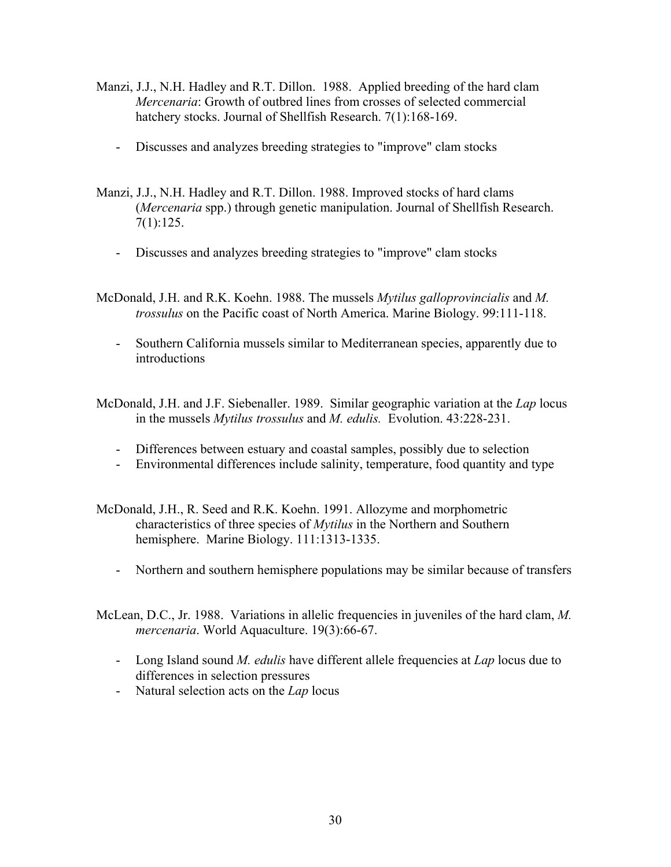- Manzi, J.J., N.H. Hadley and R.T. Dillon. 1988. Applied breeding of the hard clam *Mercenaria*: Growth of outbred lines from crosses of selected commercial hatchery stocks. Journal of Shellfish Research. 7(1):168-169.
	- Discusses and analyzes breeding strategies to "improve" clam stocks
- Manzi, J.J., N.H. Hadley and R.T. Dillon. 1988. Improved stocks of hard clams (*Mercenaria* spp.) through genetic manipulation. Journal of Shellfish Research. 7(1):125.
	- Discusses and analyzes breeding strategies to "improve" clam stocks
- McDonald, J.H. and R.K. Koehn. 1988. The mussels *Mytilus galloprovincialis* and *M. trossulus* on the Pacific coast of North America. Marine Biology. 99:111-118.
	- Southern California mussels similar to Mediterranean species, apparently due to introductions
- McDonald, J.H. and J.F. Siebenaller. 1989. Similar geographic variation at the *Lap* locus in the mussels *Mytilus trossulus* and *M. edulis.* Evolution. 43:228-231.
	- Differences between estuary and coastal samples, possibly due to selection
	- Environmental differences include salinity, temperature, food quantity and type
- McDonald, J.H., R. Seed and R.K. Koehn. 1991. Allozyme and morphometric characteristics of three species of *Mytilus* in the Northern and Southern hemisphere. Marine Biology. 111:1313-1335.
	- Northern and southern hemisphere populations may be similar because of transfers
- McLean, D.C., Jr. 1988. Variations in allelic frequencies in juveniles of the hard clam, *M. mercenaria*. World Aquaculture. 19(3):66-67.
	- Long Island sound *M. edulis* have different allele frequencies at *Lap* locus due to differences in selection pressures
	- Natural selection acts on the *Lap* locus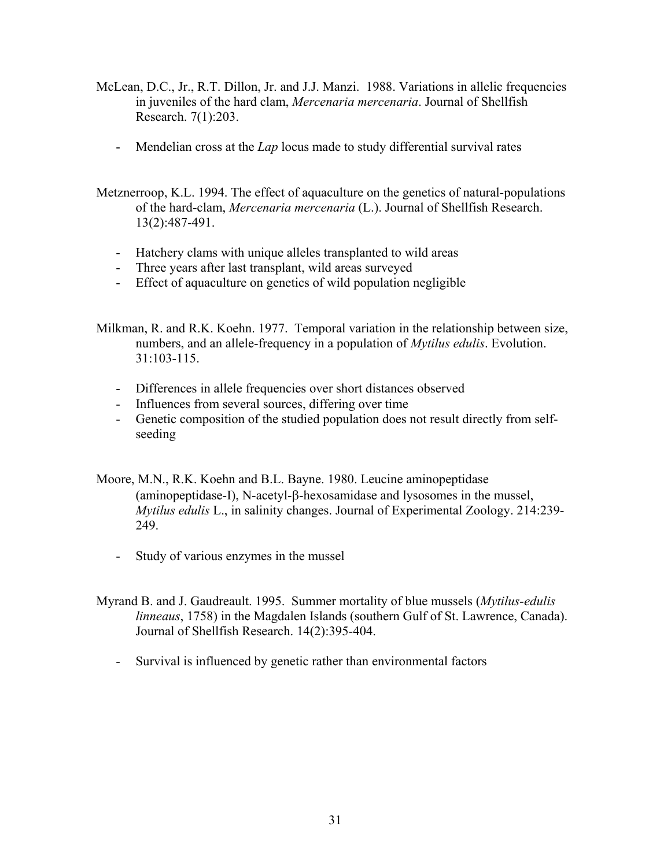- McLean, D.C., Jr., R.T. Dillon, Jr. and J.J. Manzi. 1988. Variations in allelic frequencies in juveniles of the hard clam, *Mercenaria mercenaria*. Journal of Shellfish Research. 7(1):203.
	- Mendelian cross at the *Lap* locus made to study differential survival rates
- Metznerroop, K.L. 1994. The effect of aquaculture on the genetics of natural-populations of the hard-clam, *Mercenaria mercenaria* (L.). Journal of Shellfish Research. 13(2):487-491.
	- Hatchery clams with unique alleles transplanted to wild areas
	- Three years after last transplant, wild areas surveyed
	- Effect of aquaculture on genetics of wild population negligible

Milkman, R. and R.K. Koehn. 1977. Temporal variation in the relationship between size, numbers, and an allele-frequency in a population of *Mytilus edulis*. Evolution.  $31:103-115$ 

- Differences in allele frequencies over short distances observed
- Influences from several sources, differing over time
- Genetic composition of the studied population does not result directly from selfseeding
- Moore, M.N., R.K. Koehn and B.L. Bayne. 1980. Leucine aminopeptidase (aminopeptidase-I), N-acetyl-β-hexosamidase and lysosomes in the mussel, *Mytilus edulis* L., in salinity changes. Journal of Experimental Zoology. 214:239- 249.
	- Study of various enzymes in the mussel
- Myrand B. and J. Gaudreault. 1995. Summer mortality of blue mussels (*Mytilus-edulis linneaus*, 1758) in the Magdalen Islands (southern Gulf of St. Lawrence, Canada). Journal of Shellfish Research. 14(2):395-404.
	- Survival is influenced by genetic rather than environmental factors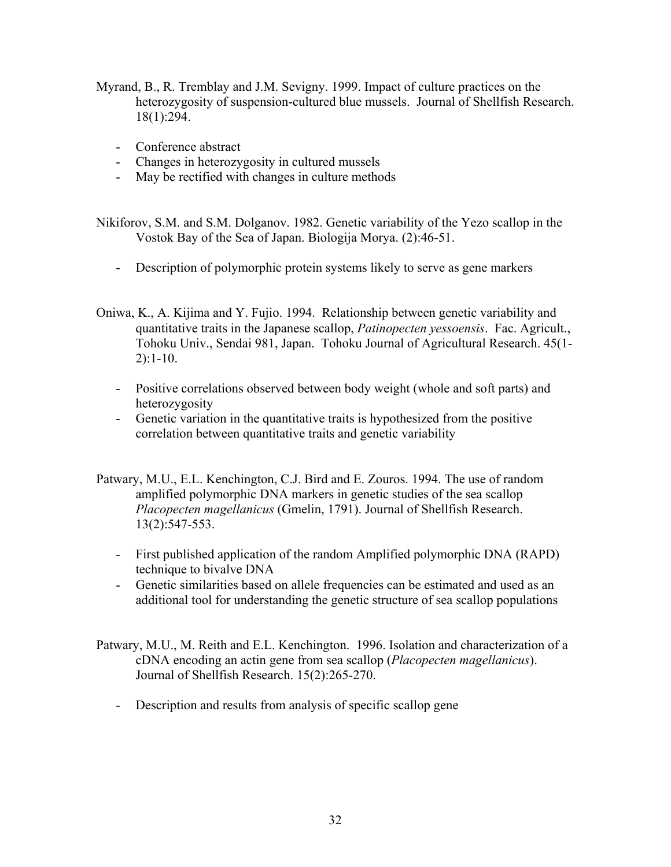- Myrand, B., R. Tremblay and J.M. Sevigny. 1999. Impact of culture practices on the heterozygosity of suspension-cultured blue mussels. Journal of Shellfish Research. 18(1):294.
	- Conference abstract
	- Changes in heterozygosity in cultured mussels
	- May be rectified with changes in culture methods

Nikiforov, S.M. and S.M. Dolganov. 1982. Genetic variability of the Yezo scallop in the Vostok Bay of the Sea of Japan. Biologija Morya. (2):46-51.

- Description of polymorphic protein systems likely to serve as gene markers
- Oniwa, K., A. Kijima and Y. Fujio. 1994. Relationship between genetic variability and quantitative traits in the Japanese scallop, *Patinopecten yessoensis*. Fac. Agricult., Tohoku Univ., Sendai 981, Japan. Tohoku Journal of Agricultural Research. 45(1- 2):1-10.
	- Positive correlations observed between body weight (whole and soft parts) and heterozygosity
	- Genetic variation in the quantitative traits is hypothesized from the positive correlation between quantitative traits and genetic variability
- Patwary, M.U., E.L. Kenchington, C.J. Bird and E. Zouros. 1994. The use of random amplified polymorphic DNA markers in genetic studies of the sea scallop *Placopecten magellanicus* (Gmelin, 1791). Journal of Shellfish Research. 13(2):547-553.
	- First published application of the random Amplified polymorphic DNA (RAPD) technique to bivalve DNA
	- Genetic similarities based on allele frequencies can be estimated and used as an additional tool for understanding the genetic structure of sea scallop populations
- Patwary, M.U., M. Reith and E.L. Kenchington. 1996. Isolation and characterization of a cDNA encoding an actin gene from sea scallop (*Placopecten magellanicus*). Journal of Shellfish Research. 15(2):265-270.
	- Description and results from analysis of specific scallop gene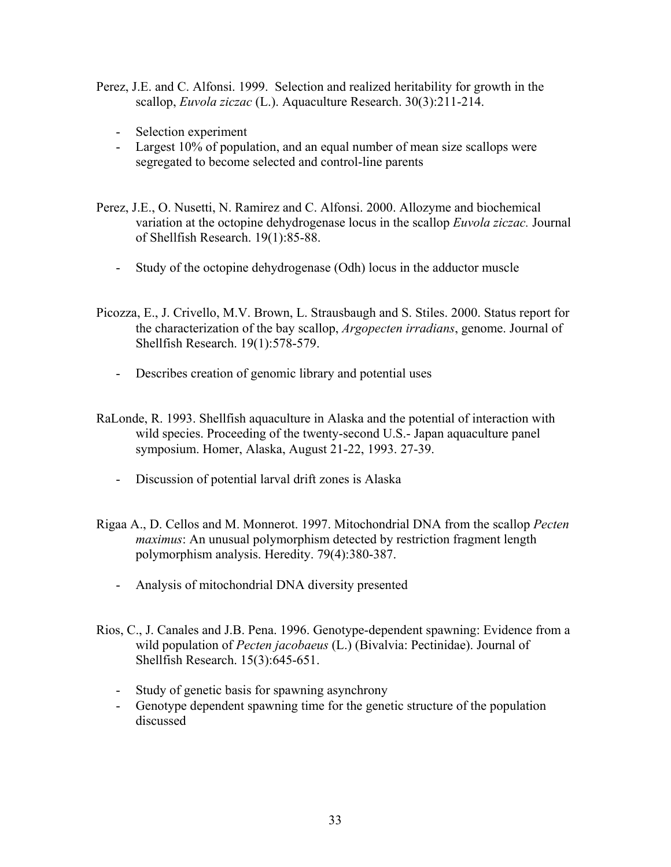- Perez, J.E. and C. Alfonsi. 1999. Selection and realized heritability for growth in the scallop, *Euvola ziczac* (L.). Aquaculture Research. 30(3):211-214.
	- Selection experiment
	- Largest 10% of population, and an equal number of mean size scallops were segregated to become selected and control-line parents
- Perez, J.E., O. Nusetti, N. Ramirez and C. Alfonsi. 2000. Allozyme and biochemical variation at the octopine dehydrogenase locus in the scallop *Euvola ziczac.* Journal of Shellfish Research. 19(1):85-88.
	- Study of the octopine dehydrogenase (Odh) locus in the adductor muscle
- Picozza, E., J. Crivello, M.V. Brown, L. Strausbaugh and S. Stiles. 2000. Status report for the characterization of the bay scallop, *Argopecten irradians*, genome. Journal of Shellfish Research. 19(1):578-579.
	- Describes creation of genomic library and potential uses
- RaLonde, R. 1993. Shellfish aquaculture in Alaska and the potential of interaction with wild species. Proceeding of the twenty-second U.S.- Japan aquaculture panel symposium. Homer, Alaska, August 21-22, 1993. 27-39.
	- Discussion of potential larval drift zones is Alaska
- Rigaa A., D. Cellos and M. Monnerot. 1997. Mitochondrial DNA from the scallop *Pecten maximus*: An unusual polymorphism detected by restriction fragment length polymorphism analysis. Heredity. 79(4):380-387.
	- Analysis of mitochondrial DNA diversity presented
- Rios, C., J. Canales and J.B. Pena. 1996. Genotype-dependent spawning: Evidence from a wild population of *Pecten jacobaeus* (L.) (Bivalvia: Pectinidae). Journal of Shellfish Research. 15(3):645-651.
	- Study of genetic basis for spawning asynchrony
	- Genotype dependent spawning time for the genetic structure of the population discussed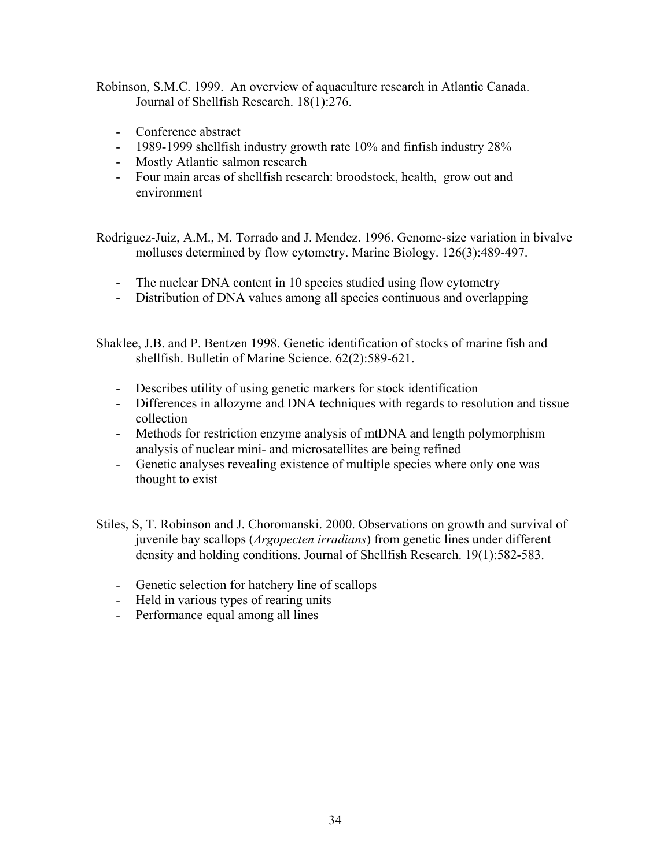Robinson, S.M.C. 1999. An overview of aquaculture research in Atlantic Canada. Journal of Shellfish Research. 18(1):276.

- Conference abstract
- 1989-1999 shellfish industry growth rate 10% and finfish industry 28%
- Mostly Atlantic salmon research
- Four main areas of shellfish research: broodstock, health, grow out and environment

Rodriguez-Juiz, A.M., M. Torrado and J. Mendez. 1996. Genome-size variation in bivalve molluscs determined by flow cytometry. Marine Biology. 126(3):489-497.

- The nuclear DNA content in 10 species studied using flow cytometry
- Distribution of DNA values among all species continuous and overlapping

Shaklee, J.B. and P. Bentzen 1998. Genetic identification of stocks of marine fish and shellfish. Bulletin of Marine Science. 62(2):589-621.

- Describes utility of using genetic markers for stock identification
- Differences in allozyme and DNA techniques with regards to resolution and tissue collection
- Methods for restriction enzyme analysis of mtDNA and length polymorphism analysis of nuclear mini- and microsatellites are being refined
- Genetic analyses revealing existence of multiple species where only one was thought to exist

Stiles, S, T. Robinson and J. Choromanski. 2000. Observations on growth and survival of juvenile bay scallops (*Argopecten irradians*) from genetic lines under different density and holding conditions. Journal of Shellfish Research. 19(1):582-583.

- Genetic selection for hatchery line of scallops
- Held in various types of rearing units
- Performance equal among all lines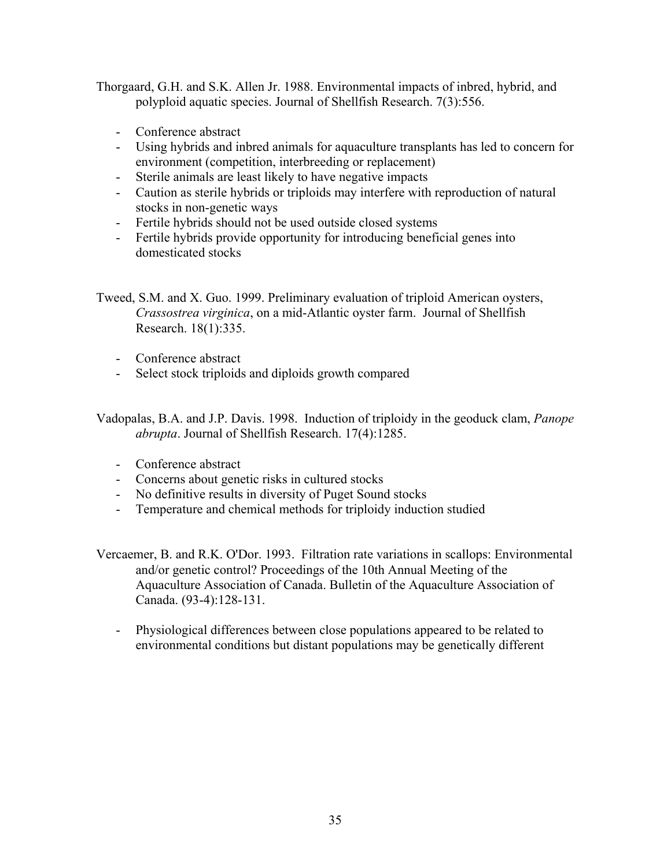Thorgaard, G.H. and S.K. Allen Jr. 1988. Environmental impacts of inbred, hybrid, and polyploid aquatic species. Journal of Shellfish Research. 7(3):556.

- Conference abstract
- Using hybrids and inbred animals for aquaculture transplants has led to concern for environment (competition, interbreeding or replacement)
- Sterile animals are least likely to have negative impacts
- Caution as sterile hybrids or triploids may interfere with reproduction of natural stocks in non-genetic ways
- Fertile hybrids should not be used outside closed systems
- Fertile hybrids provide opportunity for introducing beneficial genes into domesticated stocks

Tweed, S.M. and X. Guo. 1999. Preliminary evaluation of triploid American oysters, *Crassostrea virginica*, on a mid-Atlantic oyster farm. Journal of Shellfish Research. 18(1):335.

- Conference abstract
- Select stock triploids and diploids growth compared

Vadopalas, B.A. and J.P. Davis. 1998. Induction of triploidy in the geoduck clam, *Panope abrupta*. Journal of Shellfish Research. 17(4):1285.

- Conference abstract
- Concerns about genetic risks in cultured stocks
- No definitive results in diversity of Puget Sound stocks
- Temperature and chemical methods for triploidy induction studied
- Vercaemer, B. and R.K. O'Dor. 1993. Filtration rate variations in scallops: Environmental and/or genetic control? Proceedings of the 10th Annual Meeting of the Aquaculture Association of Canada. Bulletin of the Aquaculture Association of Canada. (93-4):128-131.
	- Physiological differences between close populations appeared to be related to environmental conditions but distant populations may be genetically different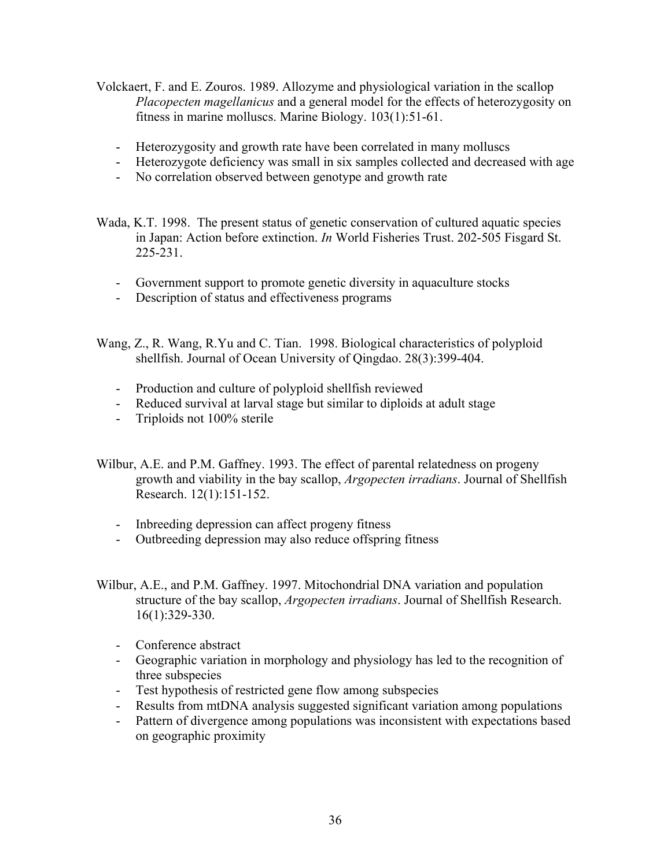- Volckaert, F. and E. Zouros. 1989. Allozyme and physiological variation in the scallop *Placopecten magellanicus* and a general model for the effects of heterozygosity on fitness in marine molluscs. Marine Biology. 103(1):51-61.
	- Heterozygosity and growth rate have been correlated in many molluscs
	- Heterozygote deficiency was small in six samples collected and decreased with age
	- No correlation observed between genotype and growth rate
- Wada, K.T. 1998. The present status of genetic conservation of cultured aquatic species in Japan: Action before extinction. *In* World Fisheries Trust. 202-505 Fisgard St. 225-231.
	- Government support to promote genetic diversity in aquaculture stocks
	- Description of status and effectiveness programs
- Wang, Z., R. Wang, R.Yu and C. Tian. 1998. Biological characteristics of polyploid shellfish. Journal of Ocean University of Qingdao. 28(3):399-404.
	- Production and culture of polyploid shellfish reviewed
	- Reduced survival at larval stage but similar to diploids at adult stage
	- Triploids not 100% sterile
- Wilbur, A.E. and P.M. Gaffney. 1993. The effect of parental relatedness on progeny growth and viability in the bay scallop, *Argopecten irradians*. Journal of Shellfish Research. 12(1):151-152.
	- Inbreeding depression can affect progeny fitness
	- Outbreeding depression may also reduce offspring fitness
- Wilbur, A.E., and P.M. Gaffney. 1997. Mitochondrial DNA variation and population structure of the bay scallop, *Argopecten irradians*. Journal of Shellfish Research. 16(1):329-330.
	- Conference abstract
	- Geographic variation in morphology and physiology has led to the recognition of three subspecies
	- Test hypothesis of restricted gene flow among subspecies
	- Results from mtDNA analysis suggested significant variation among populations
	- Pattern of divergence among populations was inconsistent with expectations based on geographic proximity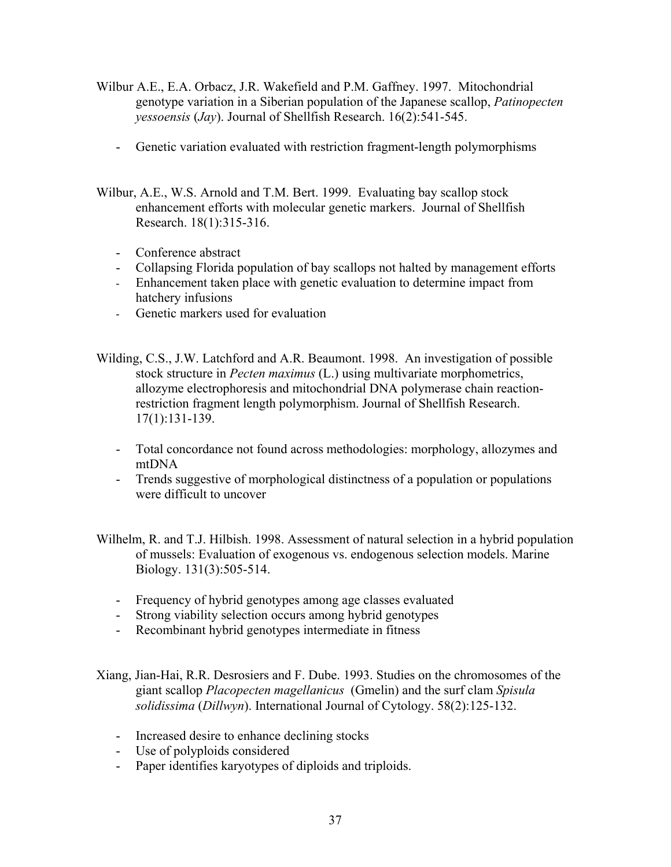- Wilbur A.E., E.A. Orbacz, J.R. Wakefield and P.M. Gaffney. 1997. Mitochondrial genotype variation in a Siberian population of the Japanese scallop, *Patinopecten yessoensis* (*Jay*). Journal of Shellfish Research. 16(2):541-545.
	- Genetic variation evaluated with restriction fragment-length polymorphisms
- Wilbur, A.E., W.S. Arnold and T.M. Bert. 1999. Evaluating bay scallop stock enhancement efforts with molecular genetic markers. Journal of Shellfish Research. 18(1):315-316.
	- Conference abstract
	- Collapsing Florida population of bay scallops not halted by management efforts
	- Enhancement taken place with genetic evaluation to determine impact from hatchery infusions
	- Genetic markers used for evaluation
- Wilding, C.S., J.W. Latchford and A.R. Beaumont. 1998. An investigation of possible stock structure in *Pecten maximus* (L.) using multivariate morphometrics, allozyme electrophoresis and mitochondrial DNA polymerase chain reactionrestriction fragment length polymorphism. Journal of Shellfish Research. 17(1):131-139.
	- Total concordance not found across methodologies: morphology, allozymes and mtDNA
	- Trends suggestive of morphological distinctness of a population or populations were difficult to uncover
- Wilhelm, R. and T.J. Hilbish. 1998. Assessment of natural selection in a hybrid population of mussels: Evaluation of exogenous vs. endogenous selection models. Marine Biology. 131(3):505-514.
	- Frequency of hybrid genotypes among age classes evaluated
	- Strong viability selection occurs among hybrid genotypes
	- Recombinant hybrid genotypes intermediate in fitness

Xiang, Jian-Hai, R.R. Desrosiers and F. Dube. 1993. Studies on the chromosomes of the giant scallop *Placopecten magellanicus* (Gmelin) and the surf clam *Spisula solidissima* (*Dillwyn*). International Journal of Cytology. 58(2):125-132.

- Increased desire to enhance declining stocks
- Use of polyploids considered
- Paper identifies karyotypes of diploids and triploids.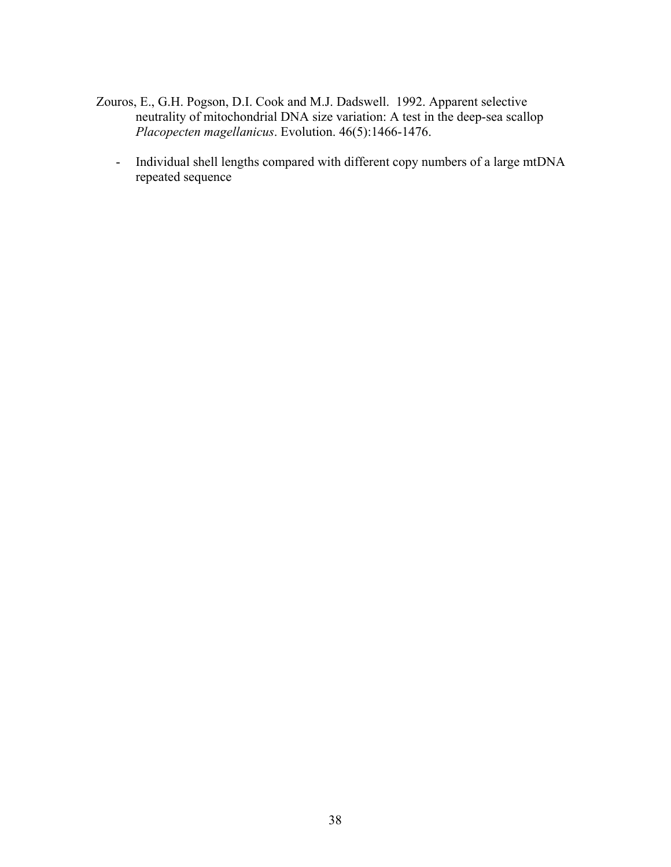- Zouros, E., G.H. Pogson, D.I. Cook and M.J. Dadswell. 1992. Apparent selective neutrality of mitochondrial DNA size variation: A test in the deep-sea scallop *Placopecten magellanicus*. Evolution. 46(5):1466-1476.
	- Individual shell lengths compared with different copy numbers of a large mtDNA repeated sequence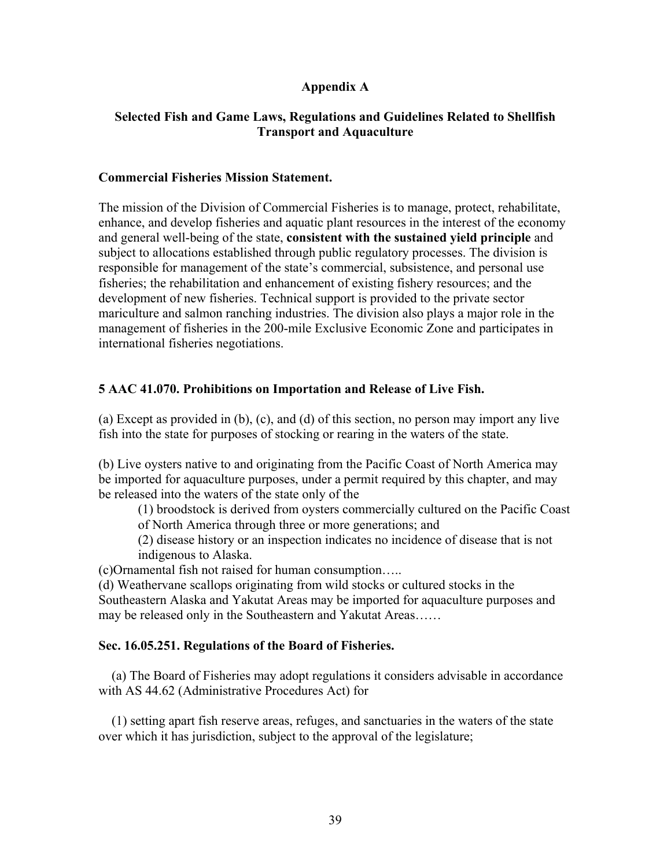# **Appendix A**

# **Selected Fish and Game Laws, Regulations and Guidelines Related to Shellfish Transport and Aquaculture**

### **Commercial Fisheries Mission Statement.**

The mission of the Division of Commercial Fisheries is to manage, protect, rehabilitate, enhance, and develop fisheries and aquatic plant resources in the interest of the economy and general well-being of the state, **consistent with the sustained yield principle** and subject to allocations established through public regulatory processes. The division is responsible for management of the state's commercial, subsistence, and personal use fisheries; the rehabilitation and enhancement of existing fishery resources; and the development of new fisheries. Technical support is provided to the private sector mariculture and salmon ranching industries. The division also plays a major role in the management of fisheries in the 200-mile Exclusive Economic Zone and participates in international fisheries negotiations.

# **5 AAC 41.070. Prohibitions on Importation and Release of Live Fish.**

(a) Except as provided in (b), (c), and (d) of this section, no person may import any live fish into the state for purposes of stocking or rearing in the waters of the state.

(b) Live oysters native to and originating from the Pacific Coast of North America may be imported for aquaculture purposes, under a permit required by this chapter, and may be released into the waters of the state only of the

(1) broodstock is derived from oysters commercially cultured on the Pacific Coast of North America through three or more generations; and

(2) disease history or an inspection indicates no incidence of disease that is not indigenous to Alaska.

(c)Ornamental fish not raised for human consumption…..

(d) Weathervane scallops originating from wild stocks or cultured stocks in the Southeastern Alaska and Yakutat Areas may be imported for aquaculture purposes and may be released only in the Southeastern and Yakutat Areas……

### **Sec. 16.05.251. Regulations of the Board of Fisheries.**

 (a) The Board of Fisheries may adopt regulations it considers advisable in accordance with AS 44.62 (Administrative Procedures Act) for

(1) setting apart fish reserve areas, refuges, and sanctuaries in the waters of the state over which it has jurisdiction, subject to the approval of the legislature;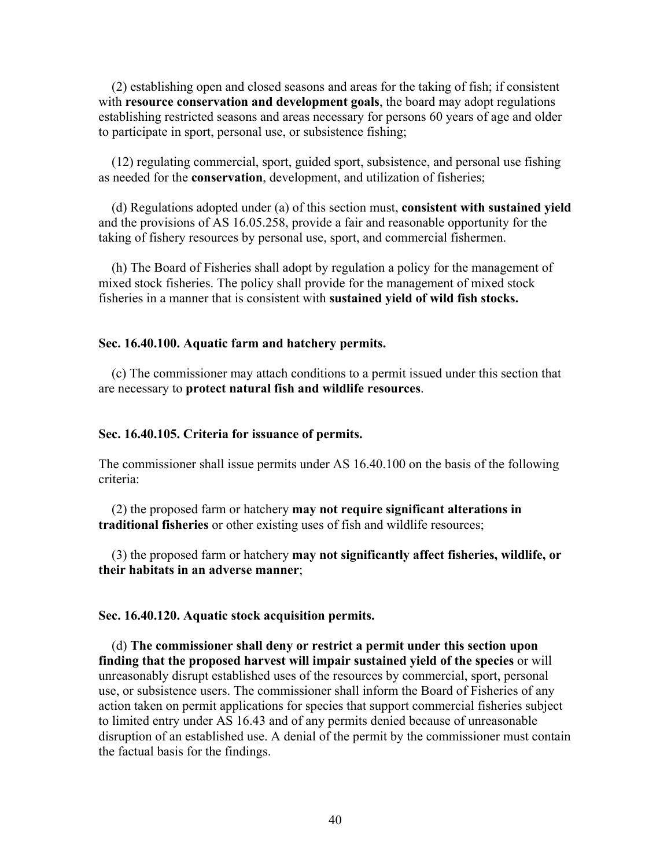(2) establishing open and closed seasons and areas for the taking of fish; if consistent with **resource conservation and development goals**, the board may adopt regulations establishing restricted seasons and areas necessary for persons 60 years of age and older to participate in sport, personal use, or subsistence fishing;

 (12) regulating commercial, sport, guided sport, subsistence, and personal use fishing as needed for the **conservation**, development, and utilization of fisheries;

 (d) Regulations adopted under (a) of this section must, **consistent with sustained yield**  and the provisions of AS 16.05.258, provide a fair and reasonable opportunity for the taking of fishery resources by personal use, sport, and commercial fishermen.

 (h) The Board of Fisheries shall adopt by regulation a policy for the management of mixed stock fisheries. The policy shall provide for the management of mixed stock fisheries in a manner that is consistent with **sustained yield of wild fish stocks.**

#### **Sec. 16.40.100. Aquatic farm and hatchery permits.**

 (c) The commissioner may attach conditions to a permit issued under this section that are necessary to **protect natural fish and wildlife resources**.

#### **Sec. 16.40.105. Criteria for issuance of permits.**

The commissioner shall issue permits under AS 16.40.100 on the basis of the following criteria:

 (2) the proposed farm or hatchery **may not require significant alterations in traditional fisheries** or other existing uses of fish and wildlife resources;

 (3) the proposed farm or hatchery **may not significantly affect fisheries, wildlife, or their habitats in an adverse manner**;

### **Sec. 16.40.120. Aquatic stock acquisition permits.**

 (d) **The commissioner shall deny or restrict a permit under this section upon finding that the proposed harvest will impair sustained yield of the species** or will unreasonably disrupt established uses of the resources by commercial, sport, personal use, or subsistence users. The commissioner shall inform the Board of Fisheries of any action taken on permit applications for species that support commercial fisheries subject to limited entry under AS 16.43 and of any permits denied because of unreasonable disruption of an established use. A denial of the permit by the commissioner must contain the factual basis for the findings.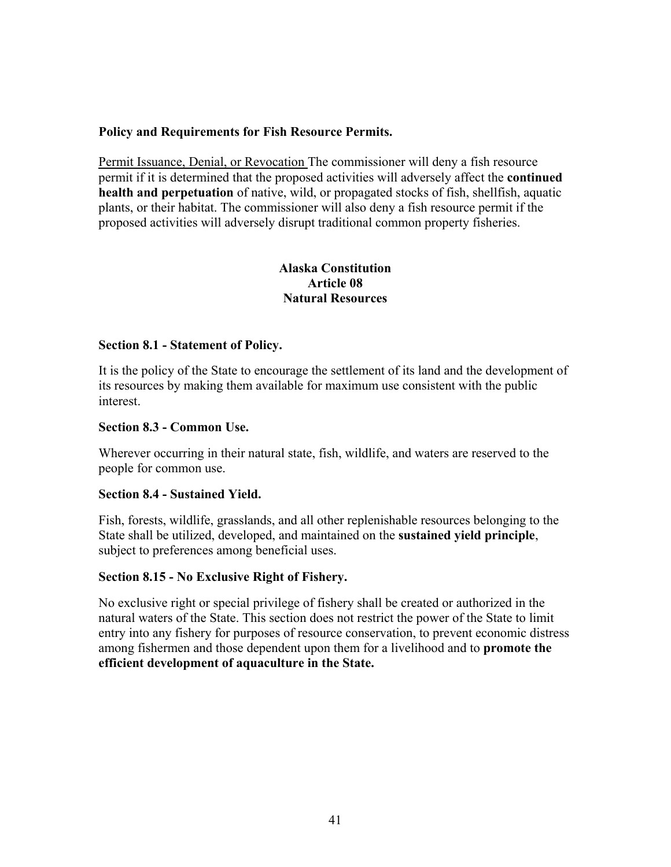# **Policy and Requirements for Fish Resource Permits.**

Permit Issuance, Denial, or Revocation The commissioner will deny a fish resource permit if it is determined that the proposed activities will adversely affect the **continued health and perpetuation** of native, wild, or propagated stocks of fish, shellfish, aquatic plants, or their habitat. The commissioner will also deny a fish resource permit if the proposed activities will adversely disrupt traditional common property fisheries.

# **Alaska Constitution Article 08 Natural Resources**

### **Section 8.1 - Statement of Policy.**

It is the policy of the State to encourage the settlement of its land and the development of its resources by making them available for maximum use consistent with the public interest.

### **Section 8.3 - Common Use.**

Wherever occurring in their natural state, fish, wildlife, and waters are reserved to the people for common use.

### **Section 8.4 - Sustained Yield.**

Fish, forests, wildlife, grasslands, and all other replenishable resources belonging to the State shall be utilized, developed, and maintained on the **sustained yield principle**, subject to preferences among beneficial uses.

### **Section 8.15 - No Exclusive Right of Fishery.**

No exclusive right or special privilege of fishery shall be created or authorized in the natural waters of the State. This section does not restrict the power of the State to limit entry into any fishery for purposes of resource conservation, to prevent economic distress among fishermen and those dependent upon them for a livelihood and to **promote the efficient development of aquaculture in the State.**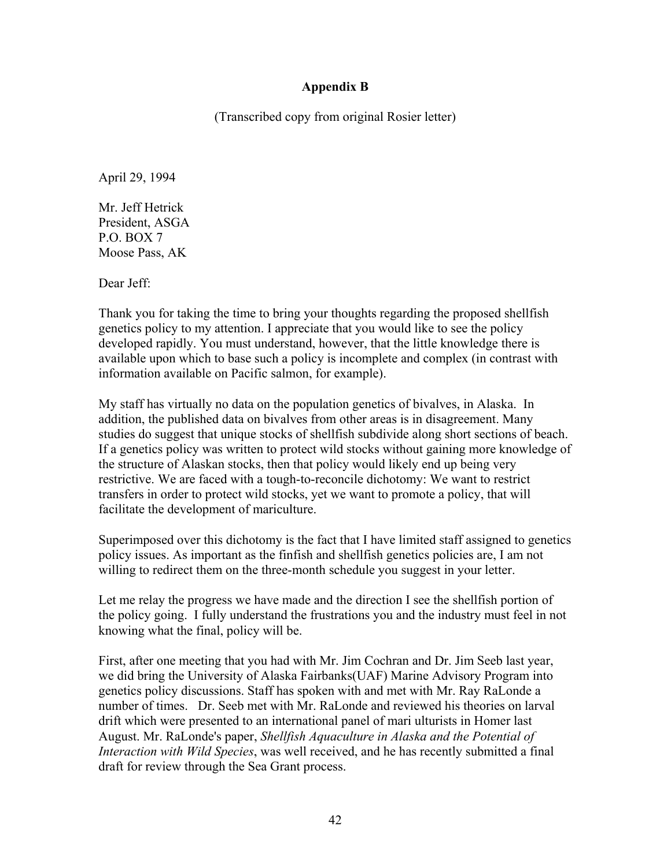# **Appendix B**

(Transcribed copy from original Rosier letter)

April 29, 1994

Mr. Jeff Hetrick President, ASGA P.O. BOX 7 Moose Pass, AK

Dear Jeff:

Thank you for taking the time to bring your thoughts regarding the proposed shellfish genetics policy to my attention. I appreciate that you would like to see the policy developed rapidly. You must understand, however, that the little knowledge there is available upon which to base such a policy is incomplete and complex (in contrast with information available on Pacific salmon, for example).

My staff has virtually no data on the population genetics of bivalves, in Alaska. In addition, the published data on bivalves from other areas is in disagreement. Many studies do suggest that unique stocks of shellfish subdivide along short sections of beach. If a genetics policy was written to protect wild stocks without gaining more knowledge of the structure of Alaskan stocks, then that policy would likely end up being very restrictive. We are faced with a tough-to-reconcile dichotomy: We want to restrict transfers in order to protect wild stocks, yet we want to promote a policy, that will facilitate the development of mariculture.

Superimposed over this dichotomy is the fact that I have limited staff assigned to genetics policy issues. As important as the finfish and shellfish genetics policies are, I am not willing to redirect them on the three-month schedule you suggest in your letter.

Let me relay the progress we have made and the direction I see the shellfish portion of the policy going. I fully understand the frustrations you and the industry must feel in not knowing what the final, policy will be.

First, after one meeting that you had with Mr. Jim Cochran and Dr. Jim Seeb last year, we did bring the University of Alaska Fairbanks(UAF) Marine Advisory Program into genetics policy discussions. Staff has spoken with and met with Mr. Ray RaLonde a number of times. Dr. Seeb met with Mr. RaLonde and reviewed his theories on larval drift which were presented to an international panel of mari ulturists in Homer last August. Mr. RaLonde's paper, *Shellfish Aquaculture in Alaska and the Potential of Interaction with Wild Species*, was well received, and he has recently submitted a final draft for review through the Sea Grant process.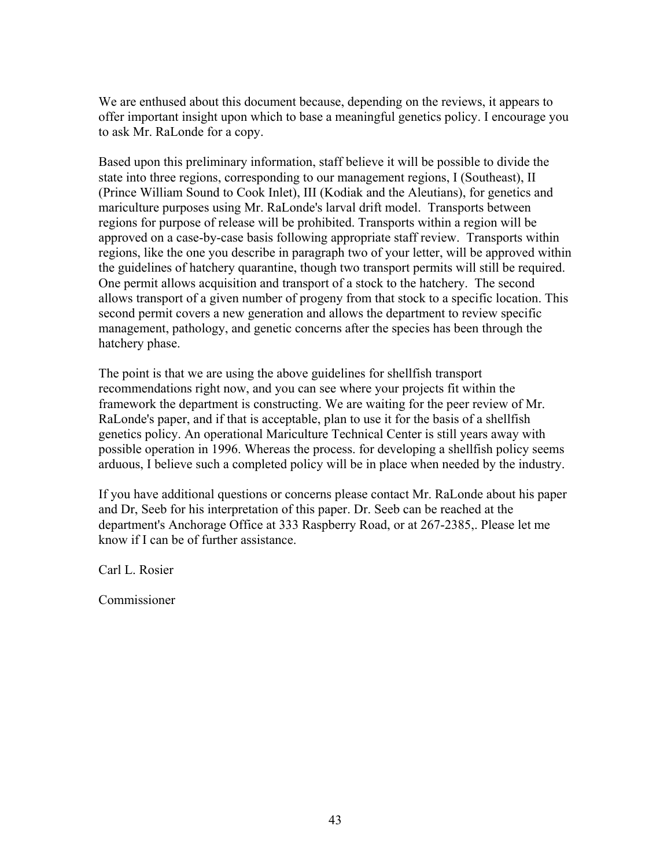We are enthused about this document because, depending on the reviews, it appears to offer important insight upon which to base a meaningful genetics policy. I encourage you to ask Mr. RaLonde for a copy.

Based upon this preliminary information, staff believe it will be possible to divide the state into three regions, corresponding to our management regions, I (Southeast), II (Prince William Sound to Cook Inlet), III (Kodiak and the Aleutians), for genetics and mariculture purposes using Mr. RaLonde's larval drift model. Transports between regions for purpose of release will be prohibited. Transports within a region will be approved on a case-by-case basis following appropriate staff review. Transports within regions, like the one you describe in paragraph two of your letter, will be approved within the guidelines of hatchery quarantine, though two transport permits will still be required. One permit allows acquisition and transport of a stock to the hatchery. The second allows transport of a given number of progeny from that stock to a specific location. This second permit covers a new generation and allows the department to review specific management, pathology, and genetic concerns after the species has been through the hatchery phase.

The point is that we are using the above guidelines for shellfish transport recommendations right now, and you can see where your projects fit within the framework the department is constructing. We are waiting for the peer review of Mr. RaLonde's paper, and if that is acceptable, plan to use it for the basis of a shellfish genetics policy. An operational Mariculture Technical Center is still years away with possible operation in 1996. Whereas the process. for developing a shellfish policy seems arduous, I believe such a completed policy will be in place when needed by the industry.

If you have additional questions or concerns please contact Mr. RaLonde about his paper and Dr, Seeb for his interpretation of this paper. Dr. Seeb can be reached at the department's Anchorage Office at 333 Raspberry Road, or at 267-2385,. Please let me know if I can be of further assistance.

Carl L. Rosier

Commissioner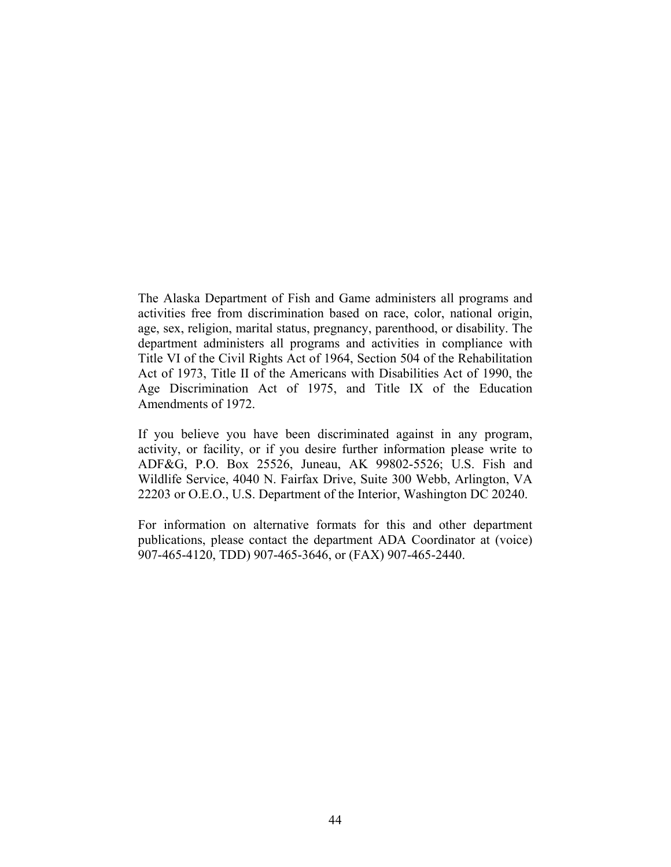The Alaska Department of Fish and Game administers all programs and activities free from discrimination based on race, color, national origin, age, sex, religion, marital status, pregnancy, parenthood, or disability. The department administers all programs and activities in compliance with Title VI of the Civil Rights Act of 1964, Section 504 of the Rehabilitation Act of 1973, Title II of the Americans with Disabilities Act of 1990, the Age Discrimination Act of 1975, and Title IX of the Education Amendments of 1972.

If you believe you have been discriminated against in any program, activity, or facility, or if you desire further information please write to ADF&G, P.O. Box 25526, Juneau, AK 99802-5526; U.S. Fish and Wildlife Service, 4040 N. Fairfax Drive, Suite 300 Webb, Arlington, VA 22203 or O.E.O., U.S. Department of the Interior, Washington DC 20240.

For information on alternative formats for this and other department publications, please contact the department ADA Coordinator at (voice) 907-465-4120, TDD) 907-465-3646, or (FAX) 907-465-2440.